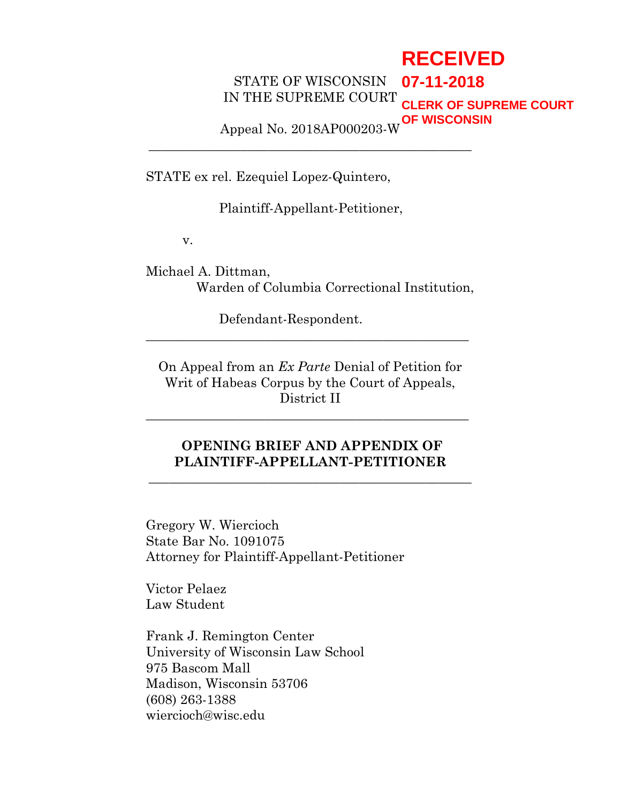# **RECEIVED**

STATE OF WISCONSIN IN THE SUPREME COURT **07-11-2018 CLERK OF SUPREME COURT OF WISCONSIN**

Appeal No. 2018AP000203-W **\_\_\_\_\_\_\_\_\_\_\_\_\_\_\_\_\_\_\_\_\_\_\_\_\_\_\_\_\_\_\_\_\_\_\_\_\_\_\_\_\_\_\_\_\_\_\_\_\_**

STATE ex rel. Ezequiel Lopez-Quintero,

Plaintiff-Appellant-Petitioner,

v.

Michael A. Dittman, Warden of Columbia Correctional Institution,

Defendant-Respondent.

On Appeal from an *Ex Parte* Denial of Petition for Writ of Habeas Corpus by the Court of Appeals, District II

**\_\_\_\_\_\_\_\_\_\_\_\_\_\_\_\_\_\_\_\_\_\_\_\_\_\_\_\_\_\_\_\_\_\_\_\_\_\_\_\_\_\_\_\_\_\_\_\_\_**

**\_\_\_\_\_\_\_\_\_\_\_\_\_\_\_\_\_\_\_\_\_\_\_\_\_\_\_\_\_\_\_\_\_\_\_\_\_\_\_\_\_\_\_\_\_\_\_\_\_**

## **OPENING BRIEF AND APPENDIX OF PLAINTIFF-APPELLANT-PETITIONER**

**\_\_\_\_\_\_\_\_\_\_\_\_\_\_\_\_\_\_\_\_\_\_\_\_\_\_\_\_\_\_\_\_\_\_\_\_\_\_\_\_\_\_\_\_\_\_\_\_\_**

Gregory W. Wiercioch State Bar No. 1091075 Attorney for Plaintiff-Appellant-Petitioner

Victor Pelaez Law Student

Frank J. Remington Center University of Wisconsin Law School 975 Bascom Mall Madison, Wisconsin 53706 (608) 263-1388 wiercioch@wisc.edu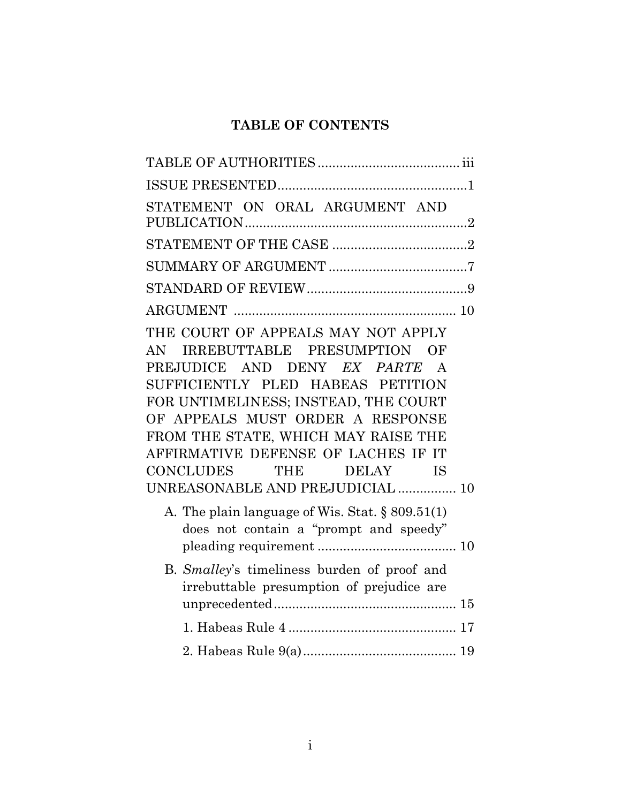## **TABLE OF CONTENTS**

| STATEMENT ON ORAL ARGUMENT AND                                                                                                                                                                                                                                                                                                                                                      |  |
|-------------------------------------------------------------------------------------------------------------------------------------------------------------------------------------------------------------------------------------------------------------------------------------------------------------------------------------------------------------------------------------|--|
|                                                                                                                                                                                                                                                                                                                                                                                     |  |
|                                                                                                                                                                                                                                                                                                                                                                                     |  |
|                                                                                                                                                                                                                                                                                                                                                                                     |  |
|                                                                                                                                                                                                                                                                                                                                                                                     |  |
| THE COURT OF APPEALS MAY NOT APPLY<br>IRREBUTTABLE PRESUMPTION OF<br>AN.<br>PREJUDICE AND DENY EX PARTE A<br>SUFFICIENTLY PLED HABEAS PETITION<br>FOR UNTIMELINESS; INSTEAD, THE COURT<br>OF APPEALS MUST ORDER A RESPONSE<br>FROM THE STATE, WHICH MAY RAISE THE<br>AFFIRMATIVE DEFENSE OF LACHES IF IT<br>CONCLUDES THE<br>DELAY<br><b>IS</b><br>UNREASONABLE AND PREJUDICIAL  10 |  |
| A. The plain language of Wis. Stat. $\S 809.51(1)$<br>does not contain a "prompt and speedy"                                                                                                                                                                                                                                                                                        |  |
| B. Smalley's timeliness burden of proof and<br>irrebuttable presumption of prejudice are                                                                                                                                                                                                                                                                                            |  |
|                                                                                                                                                                                                                                                                                                                                                                                     |  |
|                                                                                                                                                                                                                                                                                                                                                                                     |  |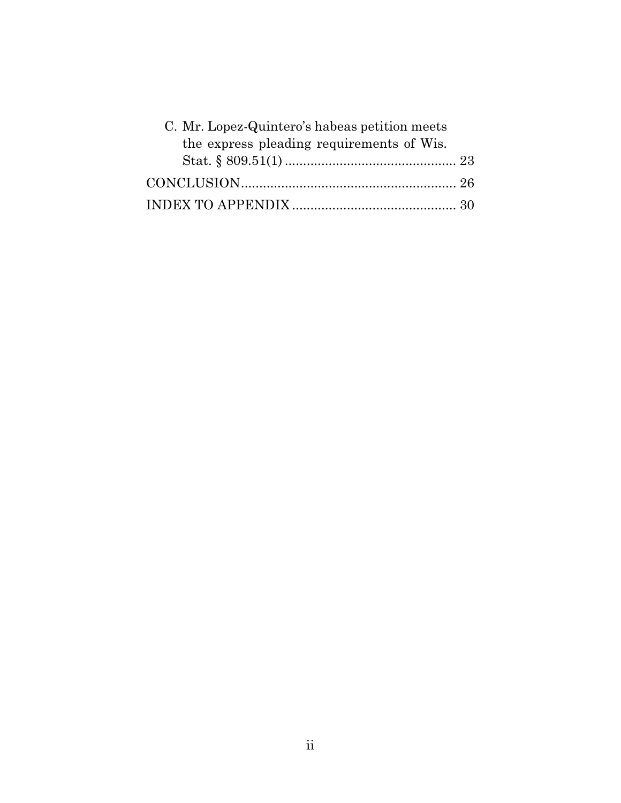| C. Mr. Lopez-Quintero's habeas petition meets |  |
|-----------------------------------------------|--|
| the express pleading requirements of Wis.     |  |
|                                               |  |
|                                               |  |
|                                               |  |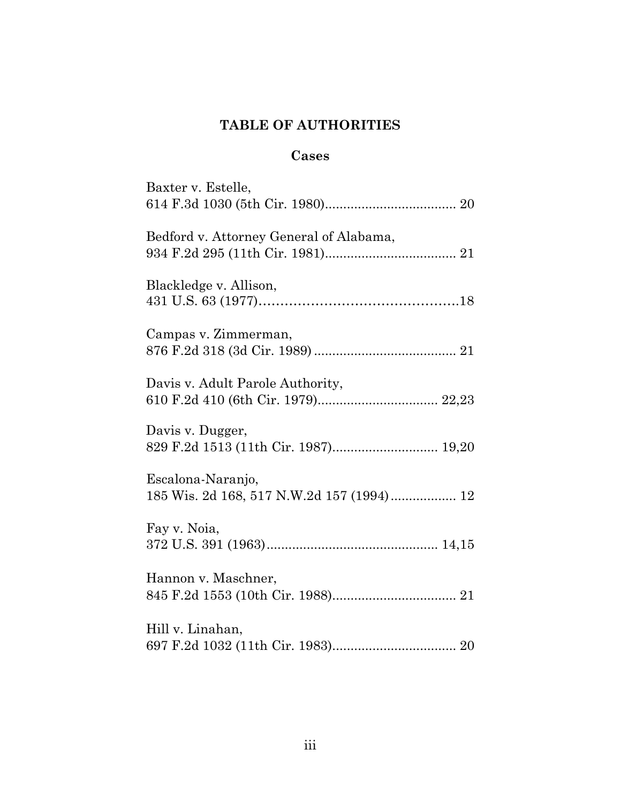## **TABLE OF AUTHORITIES**

## **Cases**

| Baxter v. Estelle,                                             |
|----------------------------------------------------------------|
| Bedford v. Attorney General of Alabama,                        |
| Blackledge v. Allison,                                         |
| Campas v. Zimmerman,                                           |
| Davis v. Adult Parole Authority,                               |
| Davis v. Dugger,<br>829 F.2d 1513 (11th Cir. 1987) 19,20       |
| Escalona-Naranjo,<br>185 Wis. 2d 168, 517 N.W.2d 157 (1994) 12 |
| Fay v. Noia,                                                   |
| Hannon v. Maschner,                                            |
| Hill v. Linahan,                                               |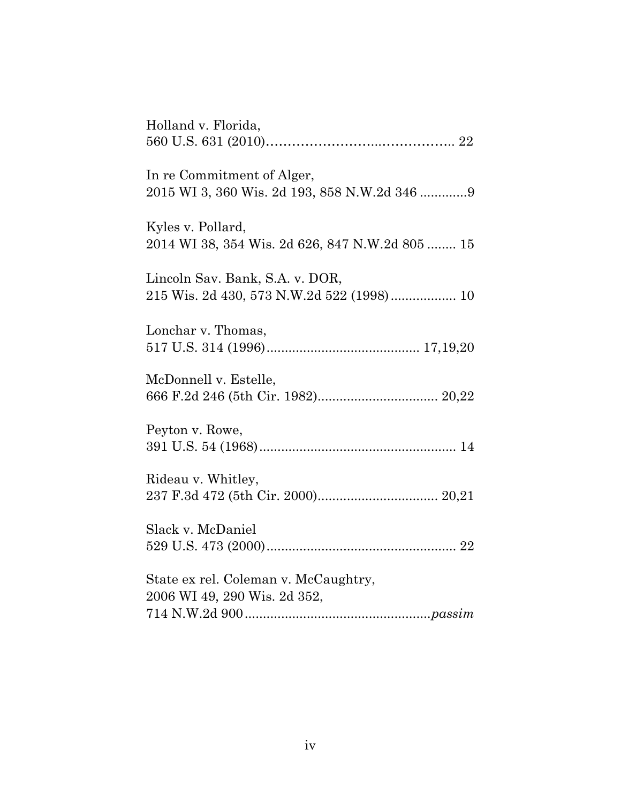| Holland v. Florida,                                                          |
|------------------------------------------------------------------------------|
| In re Commitment of Alger,<br>2015 WI 3, 360 Wis. 2d 193, 858 N.W.2d 346 9   |
| Kyles v. Pollard,<br>2014 WI 38, 354 Wis. 2d 626, 847 N.W.2d 805  15         |
| Lincoln Sav. Bank, S.A. v. DOR,<br>215 Wis. 2d 430, 573 N.W.2d 522 (1998) 10 |
| Lonchar v. Thomas,                                                           |
| McDonnell v. Estelle,                                                        |
| Peyton v. Rowe,                                                              |
| Rideau v. Whitley,                                                           |
| Slack v. McDaniel                                                            |
| State ex rel. Coleman v. McCaughtry,<br>2006 WI 49, 290 Wis. 2d 352,         |
|                                                                              |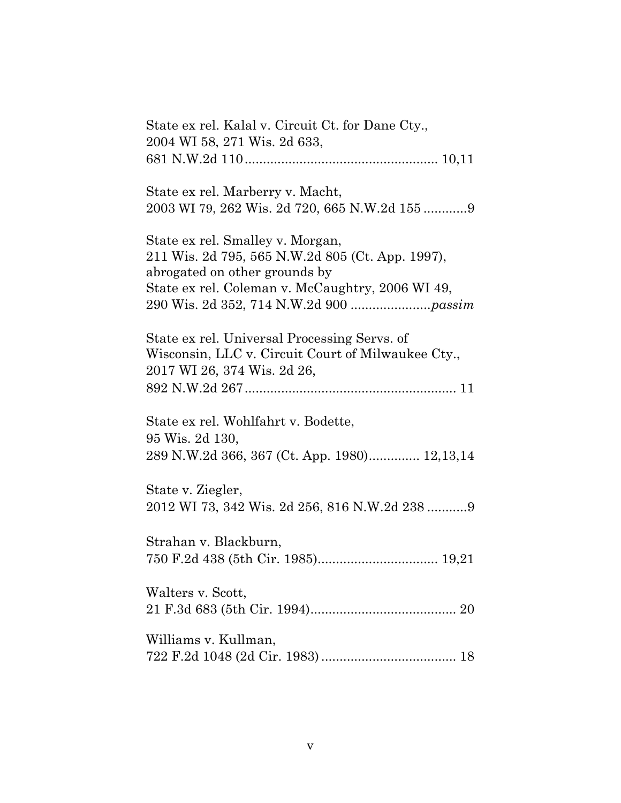| State ex rel. Kalal v. Circuit Ct. for Dane Cty.,<br>2004 WI 58, 271 Wis. 2d 633,                                                                                         |
|---------------------------------------------------------------------------------------------------------------------------------------------------------------------------|
| State ex rel. Marberry v. Macht,                                                                                                                                          |
| State ex rel. Smalley v. Morgan,<br>211 Wis. 2d 795, 565 N.W.2d 805 (Ct. App. 1997),<br>abrogated on other grounds by<br>State ex rel. Coleman v. McCaughtry, 2006 WI 49, |
| State ex rel. Universal Processing Servs. of<br>Wisconsin, LLC v. Circuit Court of Milwaukee Cty.,<br>2017 WI 26, 374 Wis. 2d 26,                                         |
| State ex rel. Wohlfahrt v. Bodette,<br>95 Wis. 2d 130,<br>289 N.W.2d 366, 367 (Ct. App. 1980) 12,13,14                                                                    |
| State v. Ziegler,<br>2012 WI 73, 342 Wis. 2d 256, 816 N.W.2d 238 9                                                                                                        |
| Strahan v. Blackburn,                                                                                                                                                     |
| Walters v. Scott,                                                                                                                                                         |
| Williams v. Kullman,                                                                                                                                                      |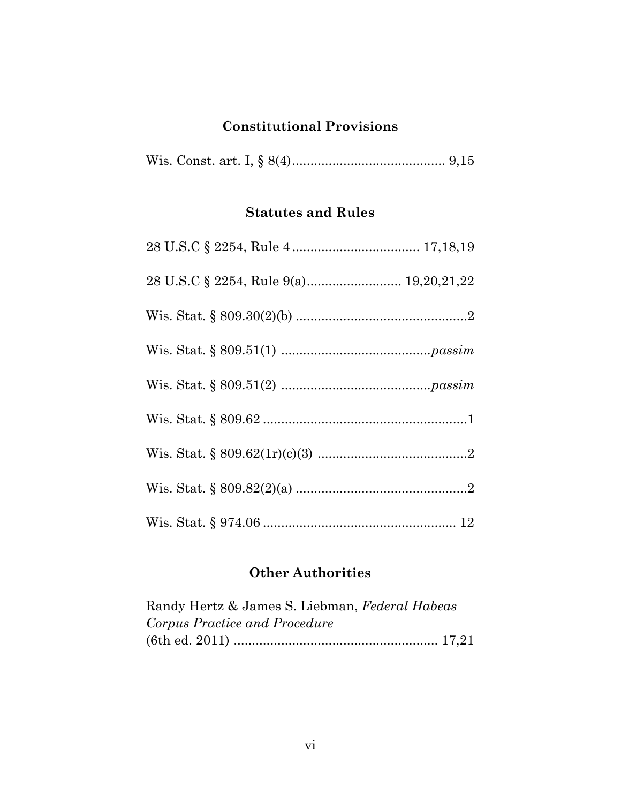## **Constitutional Provisions**

|--|--|--|--|--|--|--|

## **Statutes and Rules**

## **Other Authorities**

| Randy Hertz & James S. Liebman, Federal Habeas |  |
|------------------------------------------------|--|
| Corpus Practice and Procedure                  |  |
|                                                |  |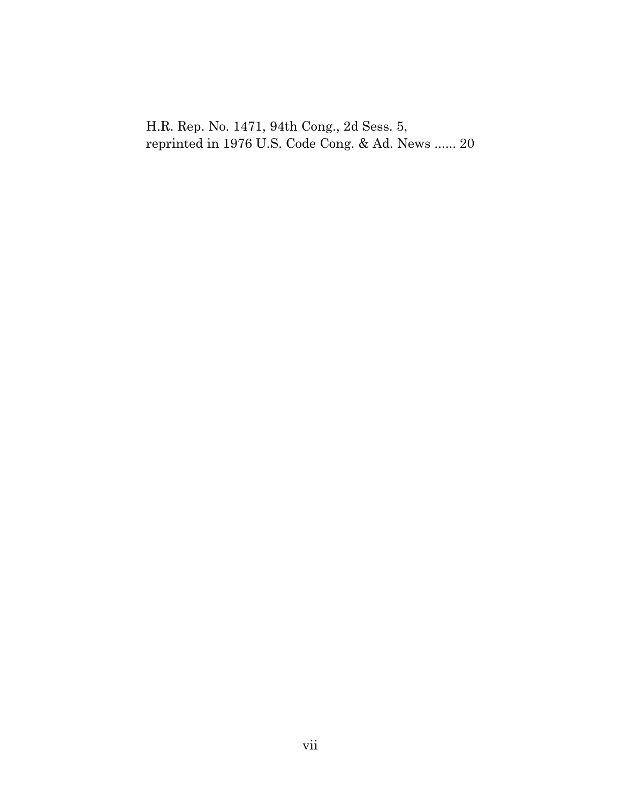H.R. Rep. No. 1471, 94th Cong., 2d Sess. 5, reprinted in 1976 U.S. Code Cong. & Ad. News ...... 20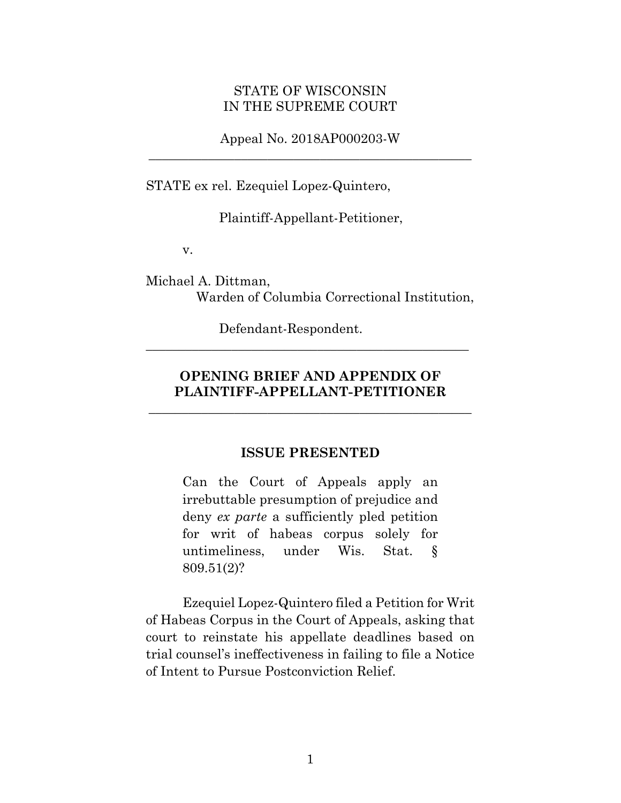#### STATE OF WISCONSIN IN THE SUPREME COURT

Appeal No. 2018AP000203-W **\_\_\_\_\_\_\_\_\_\_\_\_\_\_\_\_\_\_\_\_\_\_\_\_\_\_\_\_\_\_\_\_\_\_\_\_\_\_\_\_\_\_\_\_\_\_\_\_\_**

STATE ex rel. Ezequiel Lopez-Quintero,

Plaintiff-Appellant-Petitioner,

v.

Michael A. Dittman, Warden of Columbia Correctional Institution,

Defendant-Respondent.

## **OPENING BRIEF AND APPENDIX OF PLAINTIFF-APPELLANT-PETITIONER**

**\_\_\_\_\_\_\_\_\_\_\_\_\_\_\_\_\_\_\_\_\_\_\_\_\_\_\_\_\_\_\_\_\_\_\_\_\_\_\_\_\_\_\_\_\_\_\_\_\_**

**\_\_\_\_\_\_\_\_\_\_\_\_\_\_\_\_\_\_\_\_\_\_\_\_\_\_\_\_\_\_\_\_\_\_\_\_\_\_\_\_\_\_\_\_\_\_\_\_\_**

#### **ISSUE PRESENTED**

Can the Court of Appeals apply an irrebuttable presumption of prejudice and deny *ex parte* a sufficiently pled petition for writ of habeas corpus solely for untimeliness, under Wis. Stat. § 809.51(2)?

Ezequiel Lopez-Quintero filed a Petition for Writ of Habeas Corpus in the Court of Appeals, asking that court to reinstate his appellate deadlines based on trial counsel's ineffectiveness in failing to file a Notice of Intent to Pursue Postconviction Relief.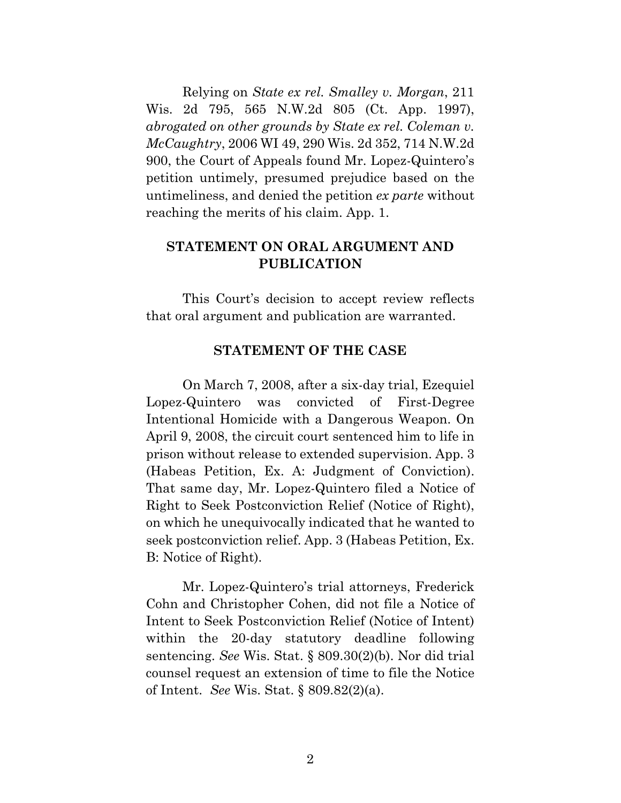Relying on *State ex rel. Smalley v. Morgan*, 211 Wis. 2d 795, 565 N.W.2d 805 (Ct. App. 1997), *abrogated on other grounds by State ex rel. Coleman v. McCaughtry*, 2006 WI 49, 290 Wis. 2d 352, 714 N.W.2d 900, the Court of Appeals found Mr. Lopez-Quintero's petition untimely, presumed prejudice based on the untimeliness, and denied the petition *ex parte* without reaching the merits of his claim. App. 1.

## **STATEMENT ON ORAL ARGUMENT AND PUBLICATION**

This Court's decision to accept review reflects that oral argument and publication are warranted.

#### **STATEMENT OF THE CASE**

On March 7, 2008, after a six-day trial, Ezequiel Lopez-Quintero was convicted of First-Degree Intentional Homicide with a Dangerous Weapon. On April 9, 2008, the circuit court sentenced him to life in prison without release to extended supervision. App. 3 (Habeas Petition, Ex. A: Judgment of Conviction). That same day, Mr. Lopez-Quintero filed a Notice of Right to Seek Postconviction Relief (Notice of Right), on which he unequivocally indicated that he wanted to seek postconviction relief. App. 3 (Habeas Petition, Ex. B: Notice of Right).

Mr. Lopez-Quintero's trial attorneys, Frederick Cohn and Christopher Cohen, did not file a Notice of Intent to Seek Postconviction Relief (Notice of Intent) within the 20-day statutory deadline following sentencing. *See* Wis. Stat. § 809.30(2)(b). Nor did trial counsel request an extension of time to file the Notice of Intent. *See* Wis. Stat. § 809.82(2)(a).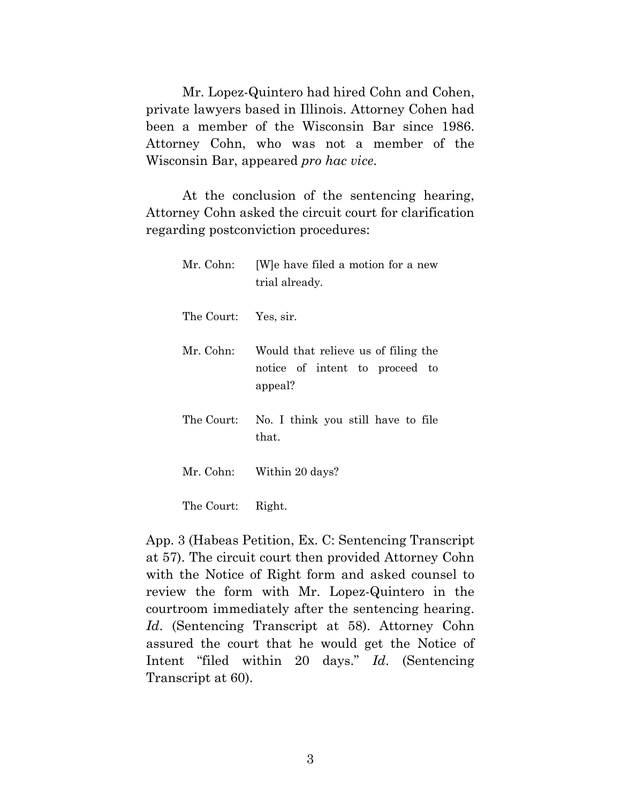Mr. Lopez-Quintero had hired Cohn and Cohen, private lawyers based in Illinois. Attorney Cohen had been a member of the Wisconsin Bar since 1986. Attorney Cohn, who was not a member of the Wisconsin Bar, appeared *pro hac vice*.

At the conclusion of the sentencing hearing, Attorney Cohn asked the circuit court for clarification regarding postconviction procedures:

| Mr. Cohn:            | [W] e have filed a motion for a new<br>trial already.                            |
|----------------------|----------------------------------------------------------------------------------|
| The Court: Yes, sir. |                                                                                  |
| Mr. Cohn:            | Would that relieve us of filing the<br>notice of intent to proceed to<br>appeal? |
| The Court:           | No. I think you still have to file<br>that.                                      |
|                      | Mr. Cohn: Within 20 days?                                                        |
| The Court:           | Right.                                                                           |

App. 3 (Habeas Petition, Ex. C: Sentencing Transcript at 57). The circuit court then provided Attorney Cohn with the Notice of Right form and asked counsel to review the form with Mr. Lopez-Quintero in the courtroom immediately after the sentencing hearing. *Id*. (Sentencing Transcript at 58). Attorney Cohn assured the court that he would get the Notice of Intent "filed within 20 days." *Id*. (Sentencing Transcript at 60).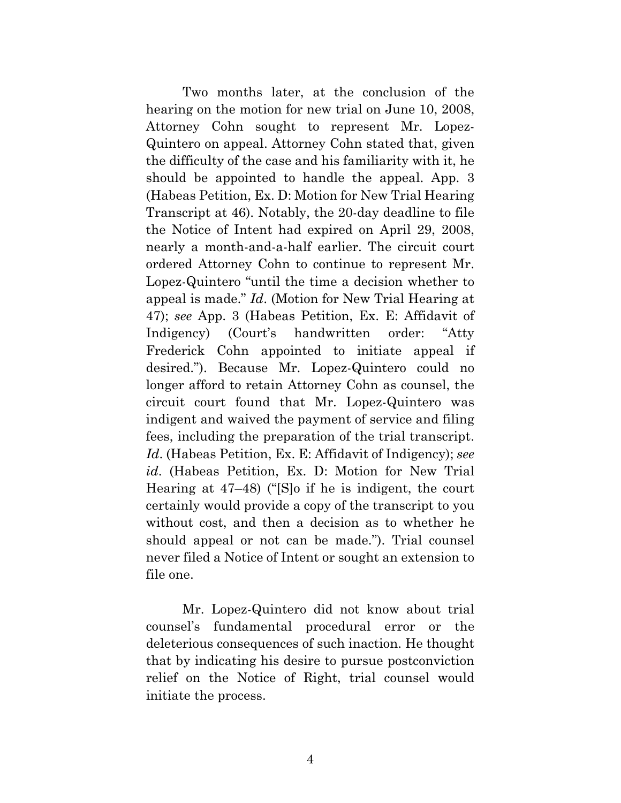Two months later, at the conclusion of the hearing on the motion for new trial on June 10, 2008, Attorney Cohn sought to represent Mr. Lopez-Quintero on appeal. Attorney Cohn stated that, given the difficulty of the case and his familiarity with it, he should be appointed to handle the appeal. App. 3 (Habeas Petition, Ex. D: Motion for New Trial Hearing Transcript at 46). Notably, the 20-day deadline to file the Notice of Intent had expired on April 29, 2008, nearly a month-and-a-half earlier. The circuit court ordered Attorney Cohn to continue to represent Mr. Lopez-Quintero "until the time a decision whether to appeal is made." *Id*. (Motion for New Trial Hearing at 47); *see* App. 3 (Habeas Petition, Ex. E: Affidavit of Indigency) (Court's handwritten order: "Atty Frederick Cohn appointed to initiate appeal if desired."). Because Mr. Lopez-Quintero could no longer afford to retain Attorney Cohn as counsel, the circuit court found that Mr. Lopez-Quintero was indigent and waived the payment of service and filing fees, including the preparation of the trial transcript. *Id*. (Habeas Petition, Ex. E: Affidavit of Indigency); *see id*. (Habeas Petition, Ex. D: Motion for New Trial Hearing at 47–48) ("[S]o if he is indigent, the court certainly would provide a copy of the transcript to you without cost, and then a decision as to whether he should appeal or not can be made."). Trial counsel never filed a Notice of Intent or sought an extension to file one.

Mr. Lopez-Quintero did not know about trial counsel's fundamental procedural error or the deleterious consequences of such inaction. He thought that by indicating his desire to pursue postconviction relief on the Notice of Right, trial counsel would initiate the process.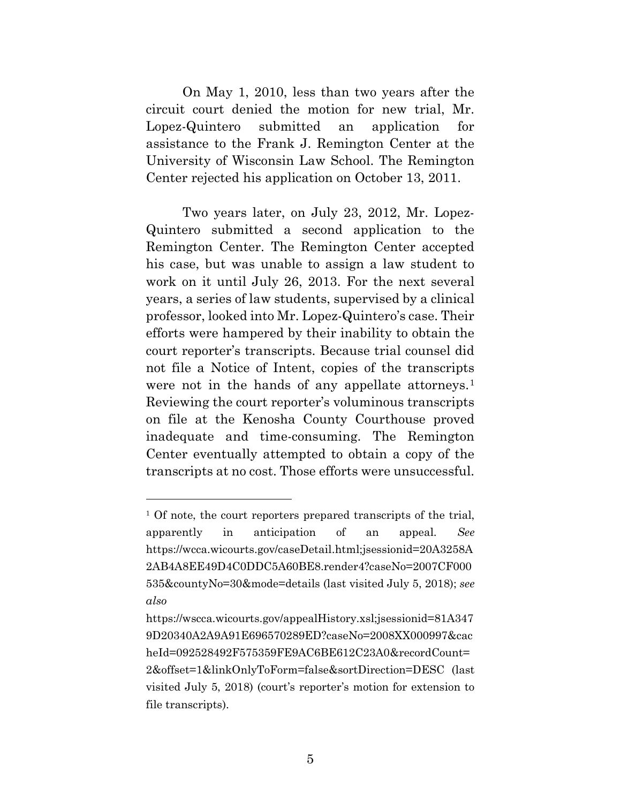On May 1, 2010, less than two years after the circuit court denied the motion for new trial, Mr. Lopez-Quintero submitted an application for assistance to the Frank J. Remington Center at the University of Wisconsin Law School. The Remington Center rejected his application on October 13, 2011.

Two years later, on July 23, 2012, Mr. Lopez-Quintero submitted a second application to the Remington Center. The Remington Center accepted his case, but was unable to assign a law student to work on it until July 26, 2013. For the next several years, a series of law students, supervised by a clinical professor, looked into Mr. Lopez-Quintero's case. Their efforts were hampered by their inability to obtain the court reporter's transcripts. Because trial counsel did not file a Notice of Intent, copies of the transcripts were not in the hands of any appellate attorneys.<sup>[1](#page-12-0)</sup> Reviewing the court reporter's voluminous transcripts on file at the Kenosha County Courthouse proved inadequate and time-consuming. The Remington Center eventually attempted to obtain a copy of the transcripts at no cost. Those efforts were unsuccessful.

 $\overline{a}$ 

<span id="page-12-0"></span><sup>&</sup>lt;sup>1</sup> Of note, the court reporters prepared transcripts of the trial, apparently in anticipation of an appeal. *See* https://wcca.wicourts.gov/caseDetail.html;jsessionid=20A3258A 2AB4A8EE49D4C0DDC5A60BE8.render4?caseNo=2007CF000 535&countyNo=30&mode=details (last visited July 5, 2018); *see also* 

https://wscca.wicourts.gov/appealHistory.xsl;jsessionid=81A347 9D20340A2A9A91E696570289ED?caseNo=2008XX000997&cac heId=092528492F575359FE9AC6BE612C23A0&recordCount= 2&offset=1&linkOnlyToForm=false&sortDirection=DESC (last visited July 5, 2018) (court's reporter's motion for extension to file transcripts).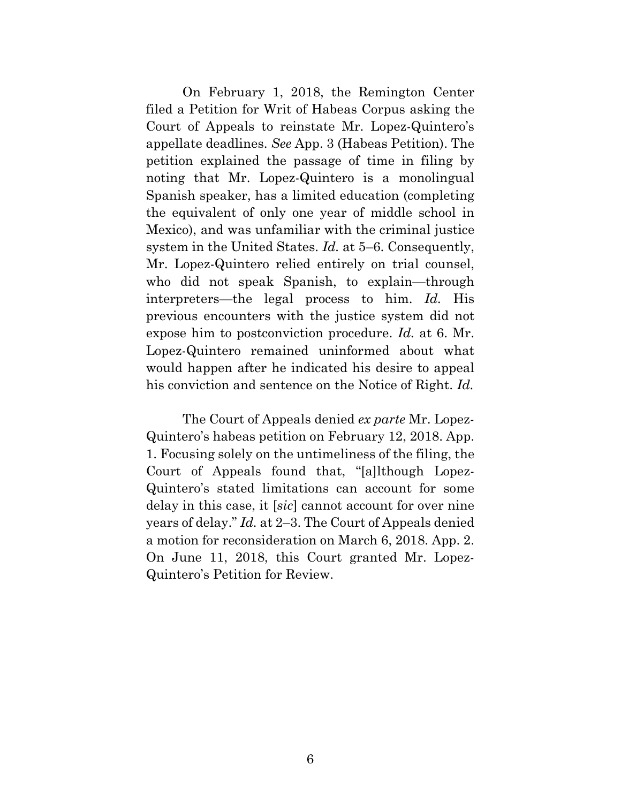On February 1, 2018, the Remington Center filed a Petition for Writ of Habeas Corpus asking the Court of Appeals to reinstate Mr. Lopez-Quintero's appellate deadlines. *See* App. 3 (Habeas Petition). The petition explained the passage of time in filing by noting that Mr. Lopez-Quintero is a monolingual Spanish speaker, has a limited education (completing the equivalent of only one year of middle school in Mexico), and was unfamiliar with the criminal justice system in the United States. *Id.* at 5–6. Consequently, Mr. Lopez-Quintero relied entirely on trial counsel, who did not speak Spanish, to explain—through interpreters—the legal process to him. *Id.* His previous encounters with the justice system did not expose him to postconviction procedure. *Id.* at 6. Mr. Lopez-Quintero remained uninformed about what would happen after he indicated his desire to appeal his conviction and sentence on the Notice of Right. *Id.*

The Court of Appeals denied *ex parte* Mr. Lopez-Quintero's habeas petition on February 12, 2018. App. 1. Focusing solely on the untimeliness of the filing, the Court of Appeals found that, "[a]lthough Lopez-Quintero's stated limitations can account for some delay in this case, it [*sic*] cannot account for over nine years of delay." *Id.* at 2–3. The Court of Appeals denied a motion for reconsideration on March 6, 2018. App. 2. On June 11, 2018, this Court granted Mr. Lopez-Quintero's Petition for Review.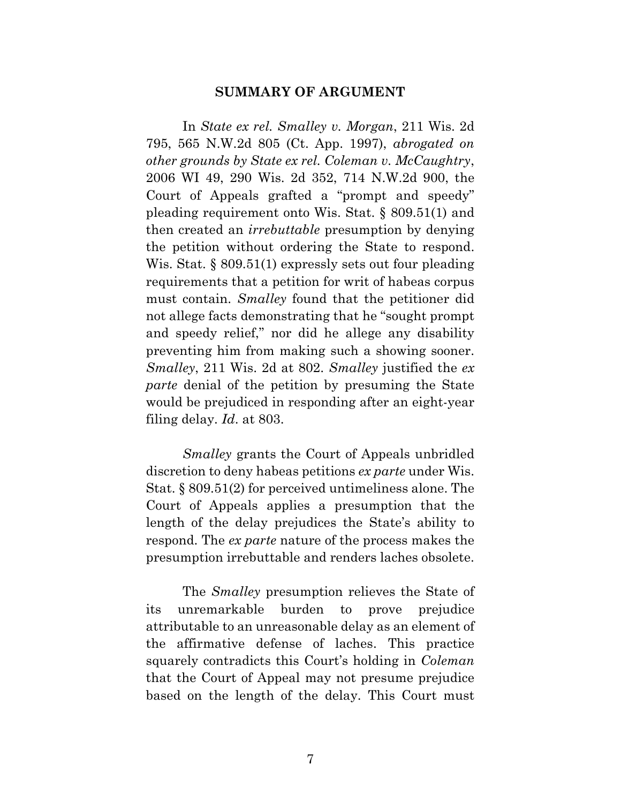#### **SUMMARY OF ARGUMENT**

In *State ex rel. Smalley v. Morgan*, 211 Wis. 2d 795, 565 N.W.2d 805 (Ct. App. 1997), *abrogated on other grounds by State ex rel. Coleman v. McCaughtry*, 2006 WI 49, 290 Wis. 2d 352, 714 N.W.2d 900, the Court of Appeals grafted a "prompt and speedy" pleading requirement onto Wis. Stat. § 809.51(1) and then created an *irrebuttable* presumption by denying the petition without ordering the State to respond. Wis. Stat. § 809.51(1) expressly sets out four pleading requirements that a petition for writ of habeas corpus must contain. *Smalley* found that the petitioner did not allege facts demonstrating that he "sought prompt and speedy relief," nor did he allege any disability preventing him from making such a showing sooner. *Smalley*, 211 Wis. 2d at 802. *Smalley* justified the *ex parte* denial of the petition by presuming the State would be prejudiced in responding after an eight-year filing delay. *Id*. at 803.

*Smalley* grants the Court of Appeals unbridled discretion to deny habeas petitions *ex parte* under Wis. Stat. § 809.51(2) for perceived untimeliness alone. The Court of Appeals applies a presumption that the length of the delay prejudices the State's ability to respond. The *ex parte* nature of the process makes the presumption irrebuttable and renders laches obsolete.

The *Smalley* presumption relieves the State of its unremarkable burden to prove prejudice attributable to an unreasonable delay as an element of the affirmative defense of laches. This practice squarely contradicts this Court's holding in *Coleman* that the Court of Appeal may not presume prejudice based on the length of the delay. This Court must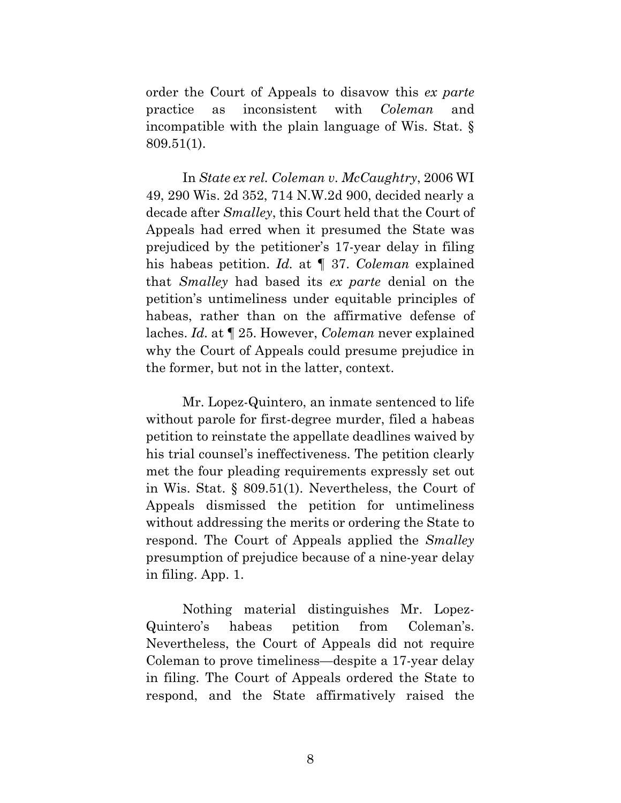order the Court of Appeals to disavow this *ex parte* practice as inconsistent with *Coleman* and incompatible with the plain language of Wis. Stat. § 809.51(1).

In *State ex rel. Coleman v. McCaughtry*, 2006 WI 49, 290 Wis. 2d 352, 714 N.W.2d 900, decided nearly a decade after *Smalley*, this Court held that the Court of Appeals had erred when it presumed the State was prejudiced by the petitioner's 17-year delay in filing his habeas petition. *Id.* at ¶ 37. *Coleman* explained that *Smalley* had based its *ex parte* denial on the petition's untimeliness under equitable principles of habeas, rather than on the affirmative defense of laches. *Id.* at ¶ 25. However, *Coleman* never explained why the Court of Appeals could presume prejudice in the former, but not in the latter, context.

Mr. Lopez-Quintero, an inmate sentenced to life without parole for first-degree murder, filed a habeas petition to reinstate the appellate deadlines waived by his trial counsel's ineffectiveness. The petition clearly met the four pleading requirements expressly set out in Wis. Stat. § 809.51(1). Nevertheless, the Court of Appeals dismissed the petition for untimeliness without addressing the merits or ordering the State to respond. The Court of Appeals applied the *Smalley* presumption of prejudice because of a nine-year delay in filing. App. 1.

Nothing material distinguishes Mr. Lopez-Quintero's habeas petition from Coleman's. Nevertheless, the Court of Appeals did not require Coleman to prove timeliness—despite a 17-year delay in filing. The Court of Appeals ordered the State to respond, and the State affirmatively raised the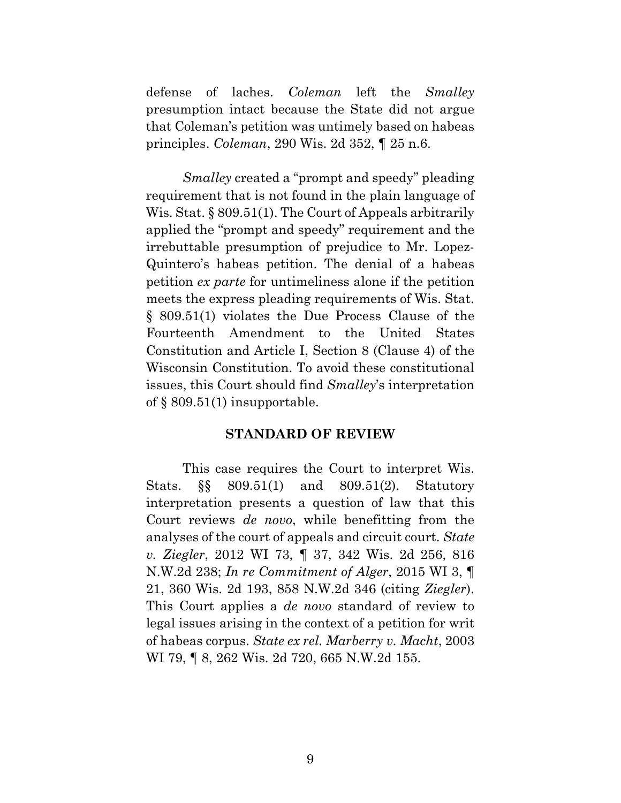defense of laches. *Coleman* left the *Smalley* presumption intact because the State did not argue that Coleman's petition was untimely based on habeas principles. *Coleman*, 290 Wis. 2d 352, ¶ 25 n.6.

*Smalley* created a "prompt and speedy" pleading requirement that is not found in the plain language of Wis. Stat. § 809.51(1). The Court of Appeals arbitrarily applied the "prompt and speedy" requirement and the irrebuttable presumption of prejudice to Mr. Lopez-Quintero's habeas petition. The denial of a habeas petition *ex parte* for untimeliness alone if the petition meets the express pleading requirements of Wis. Stat. § 809.51(1) violates the Due Process Clause of the Fourteenth Amendment to the United States Constitution and Article I, Section 8 (Clause 4) of the Wisconsin Constitution. To avoid these constitutional issues, this Court should find *Smalley*'s interpretation of § 809.51(1) insupportable.

#### **STANDARD OF REVIEW**

This case requires the Court to interpret Wis. Stats. §§ 809.51(1) and 809.51(2). Statutory interpretation presents a question of law that this Court reviews *de novo*, while benefitting from the analyses of the court of appeals and circuit court. *State v. Ziegler*, 2012 WI 73, ¶ 37, 342 Wis. 2d 256, 816 N.W.2d 238; *In re Commitment of Alger*, 2015 WI 3, ¶ 21, 360 Wis. 2d 193, 858 N.W.2d 346 (citing *Ziegler*). This Court applies a *de novo* standard of review to legal issues arising in the context of a petition for writ of habeas corpus. *State ex rel. Marberry v. Macht*, 2003 WI 79, ¶ 8, 262 Wis. 2d 720, 665 N.W.2d 155.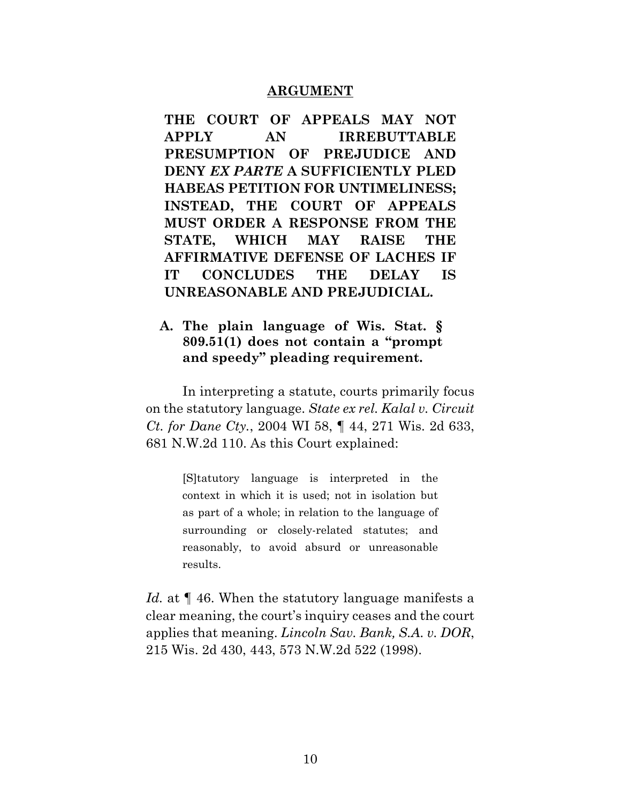#### **ARGUMENT**

**THE COURT OF APPEALS MAY NOT APPLY AN IRREBUTTABLE PRESUMPTION OF PREJUDICE AND DENY** *EX PARTE* **A SUFFICIENTLY PLED HABEAS PETITION FOR UNTIMELINESS; INSTEAD, THE COURT OF APPEALS MUST ORDER A RESPONSE FROM THE STATE, WHICH MAY RAISE THE AFFIRMATIVE DEFENSE OF LACHES IF IT CONCLUDES THE DELAY IS UNREASONABLE AND PREJUDICIAL.**

### **A. The plain language of Wis. Stat. § 809.51(1) does not contain a "prompt and speedy" pleading requirement.**

In interpreting a statute, courts primarily focus on the statutory language. *State ex rel. Kalal v. Circuit Ct. for Dane Cty.*, 2004 WI 58, ¶ 44, 271 Wis. 2d 633, 681 N.W.2d 110. As this Court explained:

> [S]tatutory language is interpreted in the context in which it is used; not in isolation but as part of a whole; in relation to the language of surrounding or closely-related statutes; and reasonably, to avoid absurd or unreasonable results.

*Id.* at  $\P$  46. When the statutory language manifests a clear meaning, the court's inquiry ceases and the court applies that meaning. *Lincoln Sav. Bank, S.A. v. DOR*, 215 Wis. 2d 430, 443, 573 N.W.2d 522 (1998).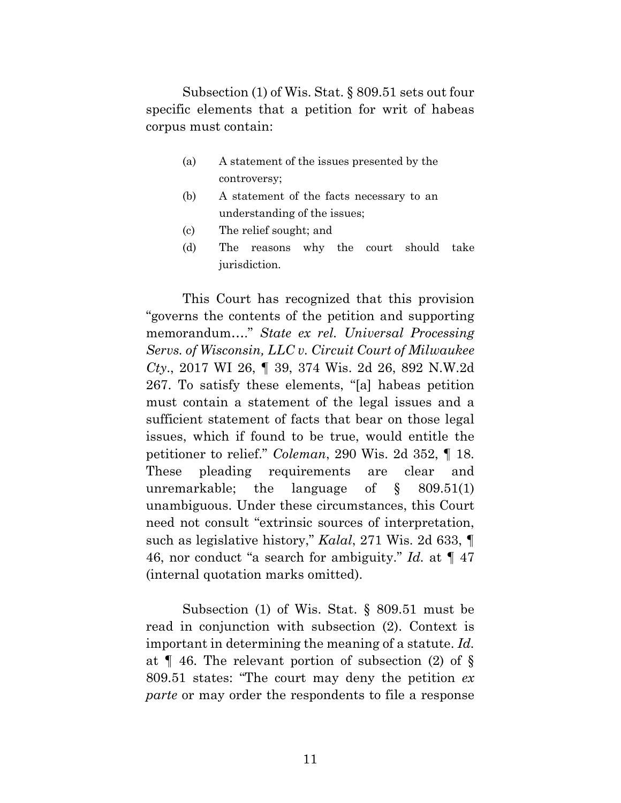Subsection (1) of Wis. Stat. § 809.51 sets out four specific elements that a petition for writ of habeas corpus must contain:

- (a) A statement of the issues presented by the controversy;
- (b) A statement of the facts necessary to an understanding of the issues;
- (c) The relief sought; and
- (d) The reasons why the court should take jurisdiction.

This Court has recognized that this provision "governs the contents of the petition and supporting memorandum…." *State ex rel. Universal Processing Servs. of Wisconsin, LLC v. Circuit Court of Milwaukee Cty*., 2017 WI 26, ¶ 39, 374 Wis. 2d 26, 892 N.W.2d 267. To satisfy these elements, "[a] habeas petition must contain a statement of the legal issues and a sufficient statement of facts that bear on those legal issues, which if found to be true, would entitle the petitioner to relief." *Coleman*, 290 Wis. 2d 352, ¶ 18. These pleading requirements are clear and unremarkable; the language of § 809.51(1) unambiguous. Under these circumstances, this Court need not consult "extrinsic sources of interpretation, such as legislative history," *Kalal*, 271 Wis. 2d 633, ¶ 46, nor conduct "a search for ambiguity." *Id.* at ¶ 47 (internal quotation marks omitted).

Subsection (1) of Wis. Stat. § 809.51 must be read in conjunction with subsection (2). Context is important in determining the meaning of a statute. *Id.* at ¶ 46. The relevant portion of subsection (2) of § 809.51 states: "The court may deny the petition *ex parte* or may order the respondents to file a response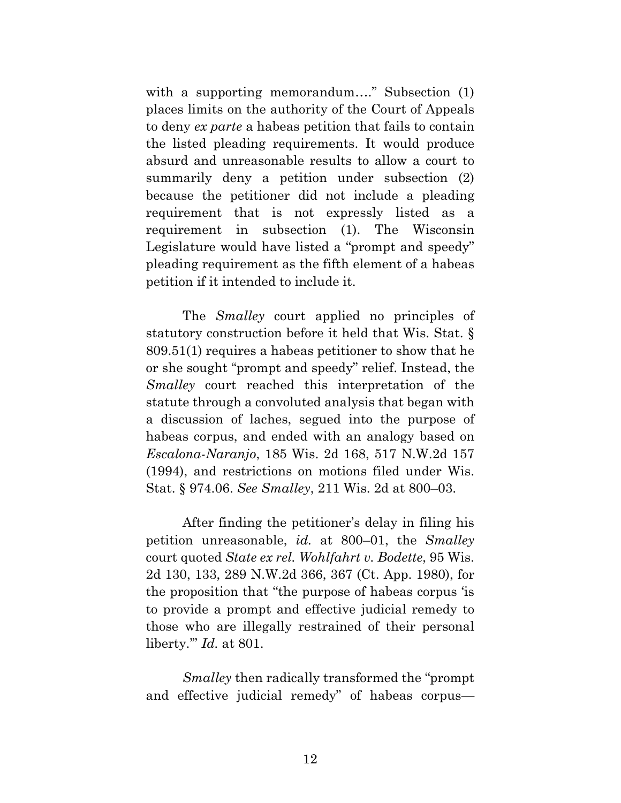with a supporting memorandum...." Subsection (1) places limits on the authority of the Court of Appeals to deny *ex parte* a habeas petition that fails to contain the listed pleading requirements. It would produce absurd and unreasonable results to allow a court to summarily deny a petition under subsection (2) because the petitioner did not include a pleading requirement that is not expressly listed as a requirement in subsection (1). The Wisconsin Legislature would have listed a "prompt and speedy" pleading requirement as the fifth element of a habeas petition if it intended to include it.

The *Smalley* court applied no principles of statutory construction before it held that Wis. Stat. § 809.51(1) requires a habeas petitioner to show that he or she sought "prompt and speedy" relief. Instead, the *Smalley* court reached this interpretation of the statute through a convoluted analysis that began with a discussion of laches, segued into the purpose of habeas corpus, and ended with an analogy based on *Escalona-Naranjo*, 185 Wis. 2d 168, 517 N.W.2d 157 (1994), and restrictions on motions filed under Wis. Stat. § 974.06. *See Smalley*, 211 Wis. 2d at 800–03.

After finding the petitioner's delay in filing his petition unreasonable, *id.* at 800–01, the *Smalley* court quoted *State ex rel. Wohlfahrt v. Bodette*, 95 Wis. 2d 130, 133, 289 N.W.2d 366, 367 (Ct. App. 1980), for the proposition that "the purpose of habeas corpus 'is to provide a prompt and effective judicial remedy to those who are illegally restrained of their personal liberty.'" *Id.* at 801.

*Smalley* then radically transformed the "prompt and effective judicial remedy" of habeas corpus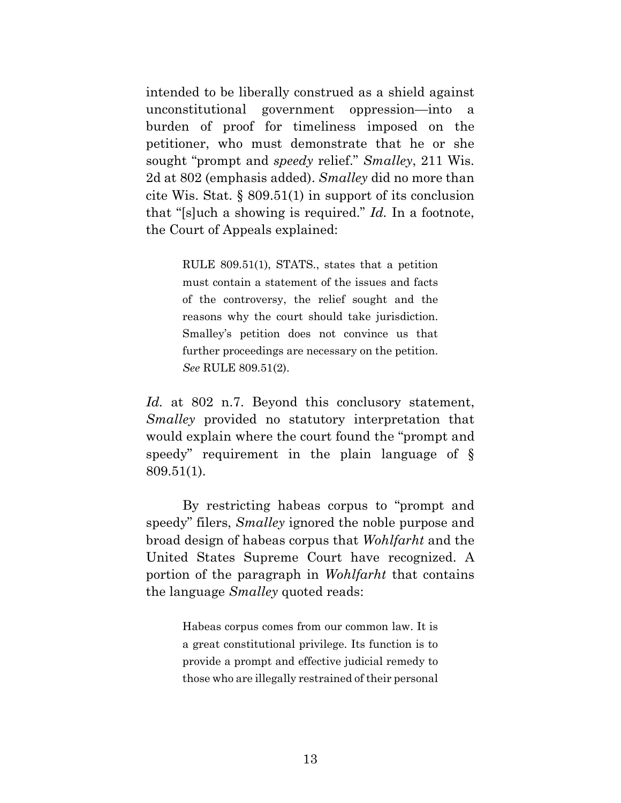intended to be liberally construed as a shield against unconstitutional government oppression—into a burden of proof for timeliness imposed on the petitioner, who must demonstrate that he or she sought "prompt and *speedy* relief." *Smalley*, 211 Wis. 2d at 802 (emphasis added). *Smalley* did no more than cite Wis. Stat. § 809.51(1) in support of its conclusion that "[s]uch a showing is required." *Id.* In a footnote, the Court of Appeals explained:

> RULE 809.51(1), STATS., states that a petition must contain a statement of the issues and facts of the controversy, the relief sought and the reasons why the court should take jurisdiction. Smalley's petition does not convince us that further proceedings are necessary on the petition. *See* RULE 809.51(2).

Id. at 802 n.7. Beyond this conclusory statement, *Smalley* provided no statutory interpretation that would explain where the court found the "prompt and speedy" requirement in the plain language of § 809.51(1).

By restricting habeas corpus to "prompt and speedy" filers, *Smalley* ignored the noble purpose and broad design of habeas corpus that *Wohlfarht* and the United States Supreme Court have recognized. A portion of the paragraph in *Wohlfarht* that contains the language *Smalley* quoted reads:

> Habeas corpus comes from our common law. It is a great constitutional privilege. Its function is to provide a prompt and effective judicial remedy to those who are illegally restrained of their personal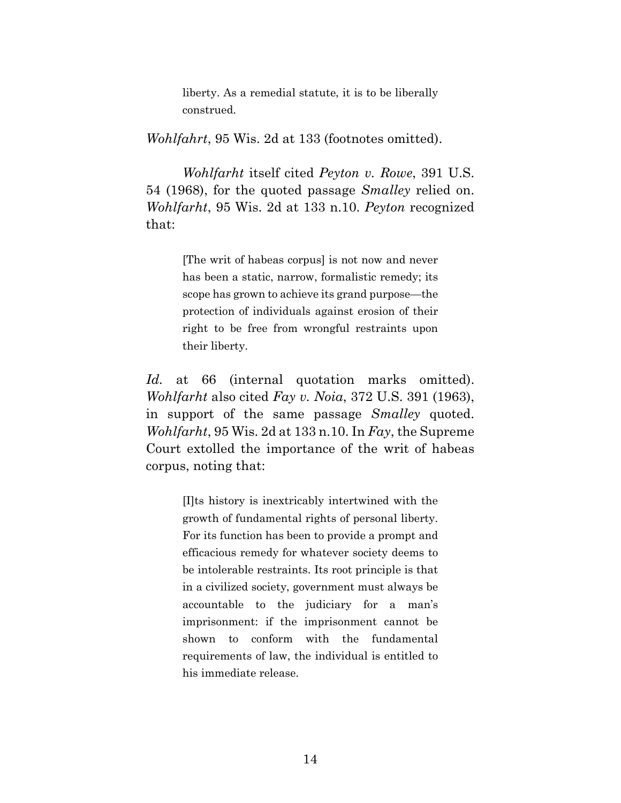liberty. As a remedial statute, it is to be liberally construed.

*Wohlfahrt*, 95 Wis. 2d at 133 (footnotes omitted).

*Wohlfarht* itself cited *Peyton v. Rowe*, 391 U.S. 54 (1968), for the quoted passage *Smalley* relied on. *Wohlfarht*, 95 Wis. 2d at 133 n.10. *Peyton* recognized that:

> [The writ of habeas corpus] is not now and never has been a static, narrow, formalistic remedy; its scope has grown to achieve its grand purpose—the protection of individuals against erosion of their right to be free from wrongful restraints upon their liberty.

*Id.* at 66 (internal quotation marks omitted). *Wohlfarht* also cited *Fay v. Noia*, 372 U.S. 391 (1963), in support of the same passage *Smalley* quoted. *Wohlfarht*, 95 Wis. 2d at 133 n.10. In *Fay*, the Supreme Court extolled the importance of the writ of habeas corpus, noting that:

> [I]ts history is inextricably intertwined with the growth of fundamental rights of personal liberty. For its function has been to provide a prompt and efficacious remedy for whatever society deems to be intolerable restraints. Its root principle is that in a civilized society, government must always be accountable to the judiciary for a man's imprisonment: if the imprisonment cannot be shown to conform with the fundamental requirements of law, the individual is entitled to his immediate release.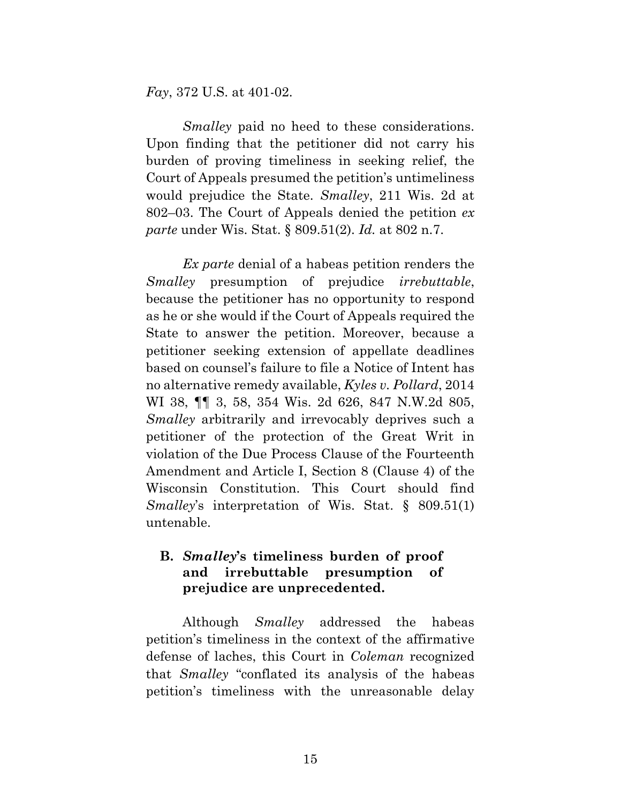*Fay*, 372 U.S. at 401-02.

*Smalley* paid no heed to these considerations. Upon finding that the petitioner did not carry his burden of proving timeliness in seeking relief, the Court of Appeals presumed the petition's untimeliness would prejudice the State. *Smalley*, 211 Wis. 2d at 802–03. The Court of Appeals denied the petition *ex parte* under Wis. Stat. § 809.51(2). *Id.* at 802 n.7.

*Ex parte* denial of a habeas petition renders the *Smalley* presumption of prejudice *irrebuttable*, because the petitioner has no opportunity to respond as he or she would if the Court of Appeals required the State to answer the petition. Moreover, because a petitioner seeking extension of appellate deadlines based on counsel's failure to file a Notice of Intent has no alternative remedy available, *Kyles v. Pollard*, 2014 WI 38, ¶¶ 3, 58, 354 Wis. 2d 626, 847 N.W.2d 805, *Smalley* arbitrarily and irrevocably deprives such a petitioner of the protection of the Great Writ in violation of the Due Process Clause of the Fourteenth Amendment and Article I, Section 8 (Clause 4) of the Wisconsin Constitution. This Court should find *Smalley*'s interpretation of Wis. Stat. § 809.51(1) untenable.

## **B.** *Smalley***'s timeliness burden of proof and irrebuttable presumption of prejudice are unprecedented.**

Although *Smalley* addressed the habeas petition's timeliness in the context of the affirmative defense of laches, this Court in *Coleman* recognized that *Smalley* "conflated its analysis of the habeas petition's timeliness with the unreasonable delay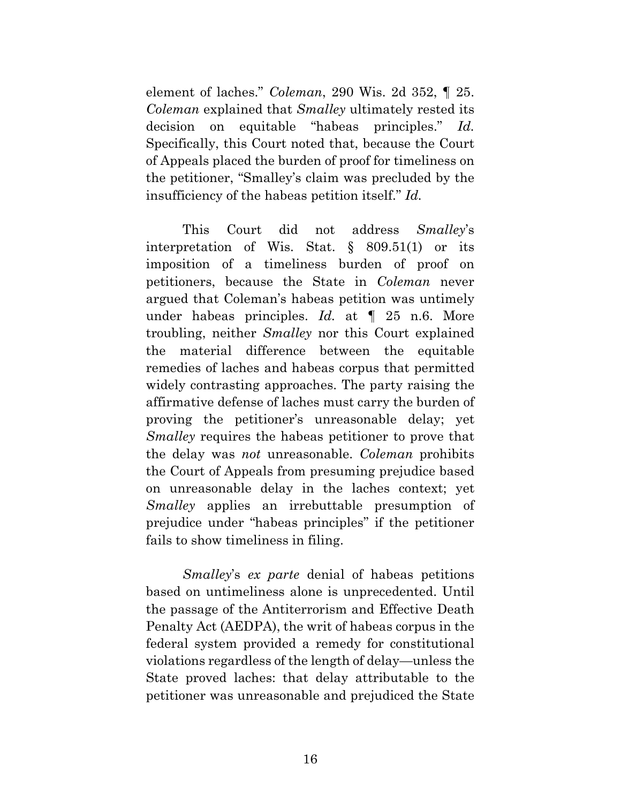element of laches." *Coleman*, 290 Wis. 2d 352, ¶ 25. *Coleman* explained that *Smalley* ultimately rested its decision on equitable "habeas principles." *Id.* Specifically, this Court noted that, because the Court of Appeals placed the burden of proof for timeliness on the petitioner, "Smalley's claim was precluded by the insufficiency of the habeas petition itself." *Id.*

This Court did not address *Smalley*'s interpretation of Wis. Stat. § 809.51(1) or its imposition of a timeliness burden of proof on petitioners, because the State in *Coleman* never argued that Coleman's habeas petition was untimely under habeas principles. *Id.* at ¶ 25 n.6. More troubling, neither *Smalley* nor this Court explained the material difference between the equitable remedies of laches and habeas corpus that permitted widely contrasting approaches. The party raising the affirmative defense of laches must carry the burden of proving the petitioner's unreasonable delay; yet *Smalley* requires the habeas petitioner to prove that the delay was *not* unreasonable. *Coleman* prohibits the Court of Appeals from presuming prejudice based on unreasonable delay in the laches context; yet *Smalley* applies an irrebuttable presumption of prejudice under "habeas principles" if the petitioner fails to show timeliness in filing.

*Smalley*'s *ex parte* denial of habeas petitions based on untimeliness alone is unprecedented. Until the passage of the Antiterrorism and Effective Death Penalty Act (AEDPA), the writ of habeas corpus in the federal system provided a remedy for constitutional violations regardless of the length of delay—unless the State proved laches: that delay attributable to the petitioner was unreasonable and prejudiced the State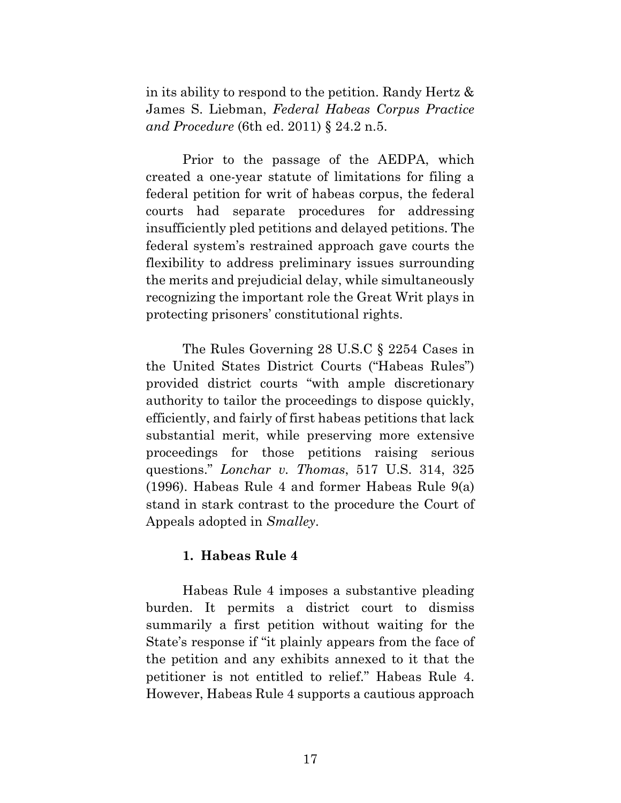in its ability to respond to the petition. Randy Hertz & James S. Liebman, *Federal Habeas Corpus Practice and Procedure* (6th ed. 2011) § 24.2 n.5.

Prior to the passage of the AEDPA, which created a one-year statute of limitations for filing a federal petition for writ of habeas corpus, the federal courts had separate procedures for addressing insufficiently pled petitions and delayed petitions. The federal system's restrained approach gave courts the flexibility to address preliminary issues surrounding the merits and prejudicial delay, while simultaneously recognizing the important role the Great Writ plays in protecting prisoners' constitutional rights.

The Rules Governing 28 U.S.C § 2254 Cases in the United States District Courts ("Habeas Rules") provided district courts "with ample discretionary authority to tailor the proceedings to dispose quickly, efficiently, and fairly of first habeas petitions that lack substantial merit, while preserving more extensive proceedings for those petitions raising serious questions." *Lonchar v. Thomas*, 517 U.S. 314, 325 (1996). Habeas Rule 4 and former Habeas Rule 9(a) stand in stark contrast to the procedure the Court of Appeals adopted in *Smalley*.

### **1. Habeas Rule 4**

Habeas Rule 4 imposes a substantive pleading burden. It permits a district court to dismiss summarily a first petition without waiting for the State's response if "it plainly appears from the face of the petition and any exhibits annexed to it that the petitioner is not entitled to relief." Habeas Rule 4. However, Habeas Rule 4 supports a cautious approach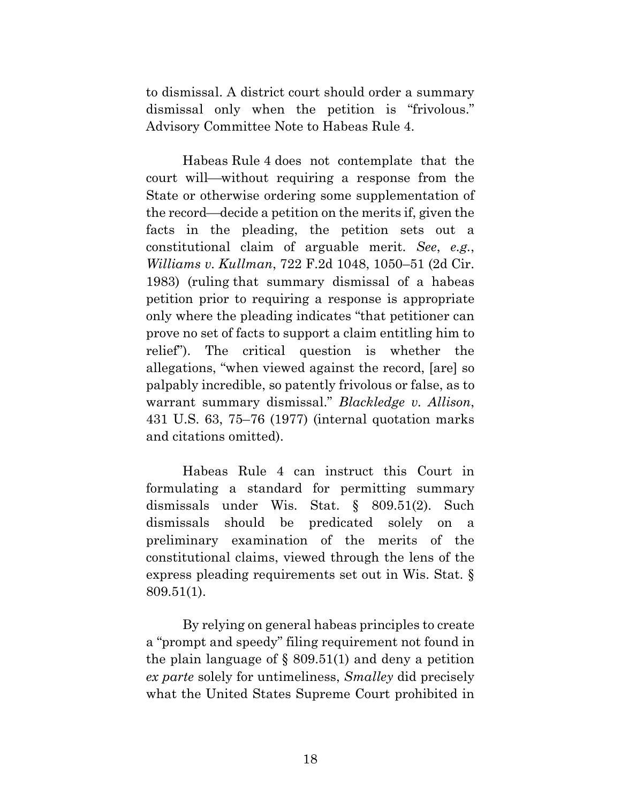to dismissal. A district court should order a summary dismissal only when the petition is "frivolous." Advisory Committee Note to Habeas Rule 4.

Habeas Rule 4 does not contemplate that the court will—without requiring a response from the State or otherwise ordering some supplementation of the record—decide a petition on the merits if, given the facts in the pleading, the petition sets out a constitutional claim of arguable merit. *See*, *e.g.*, *Williams v. Kullman*, 722 F.2d 1048, 1050–51 (2d Cir. 1983) (ruling that summary dismissal of a habeas petition prior to requiring a response is appropriate only where the pleading indicates "that petitioner can prove no set of facts to support a claim entitling him to relief"). The critical question is whether the allegations, "when viewed against the record, [are] so palpably incredible, so patently frivolous or false, as to warrant summary dismissal." *Blackledge v. Allison*, 431 U.S. 63, 75–76 (1977) (internal quotation marks and citations omitted).

Habeas Rule 4 can instruct this Court in formulating a standard for permitting summary dismissals under Wis. Stat. § 809.51(2). Such dismissals should be predicated solely on a preliminary examination of the merits of the constitutional claims, viewed through the lens of the express pleading requirements set out in Wis. Stat. § 809.51(1).

By relying on general habeas principles to create a "prompt and speedy" filing requirement not found in the plain language of  $\S$  809.51(1) and deny a petition *ex parte* solely for untimeliness, *Smalley* did precisely what the United States Supreme Court prohibited in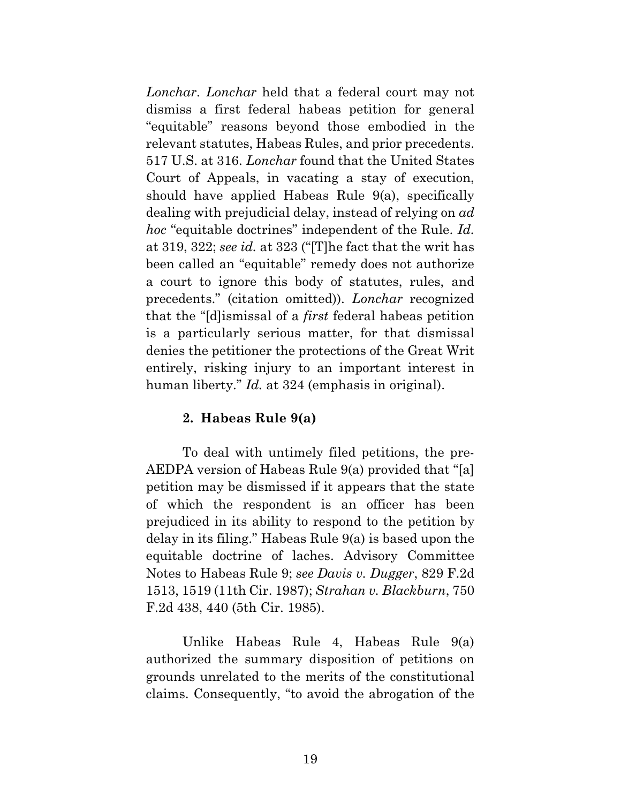*Lonchar*. *Lonchar* held that a federal court may not dismiss a first federal habeas petition for general "equitable" reasons beyond those embodied in the relevant statutes, Habeas Rules, and prior precedents. 517 U.S. at 316. *Lonchar* found that the United States Court of Appeals, in vacating a stay of execution, should have applied Habeas Rule 9(a), specifically dealing with prejudicial delay, instead of relying on *ad hoc* "equitable doctrines" independent of the Rule. *Id.* at 319, 322; *see id.* at 323 ("[T]he fact that the writ has been called an "equitable" remedy does not authorize a court to ignore this body of statutes, rules, and precedents." (citation omitted)). *Lonchar* recognized that the "[d]ismissal of a *first* federal habeas petition is a particularly serious matter, for that dismissal denies the petitioner the protections of the Great Writ entirely, risking injury to an important interest in human liberty." *Id.* at 324 (emphasis in original).

### **2. Habeas Rule 9(a)**

To deal with untimely filed petitions, the pre-AEDPA version of Habeas Rule 9(a) provided that "[a] petition may be dismissed if it appears that the state of which the respondent is an officer has been prejudiced in its ability to respond to the petition by delay in its filing." Habeas Rule 9(a) is based upon the equitable doctrine of laches. Advisory Committee Notes to Habeas Rule 9; *see Davis v. Dugger*, 829 F.2d 1513, 1519 (11th Cir. 1987); *Strahan v. Blackburn*, 750 F.2d 438, 440 (5th Cir. 1985).

Unlike Habeas Rule 4, Habeas Rule 9(a) authorized the summary disposition of petitions on grounds unrelated to the merits of the constitutional claims. Consequently, "to avoid the abrogation of the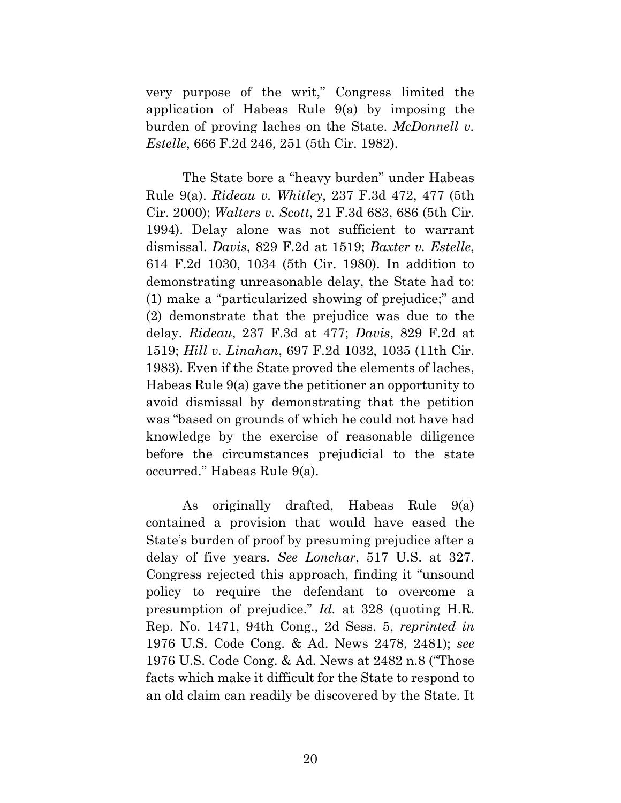very purpose of the writ," Congress limited the application of Habeas Rule 9(a) by imposing the burden of proving laches on the State. *McDonnell v. Estelle*, 666 F.2d 246, 251 (5th Cir. 1982).

The State bore a "heavy burden" under Habeas Rule 9(a). *Rideau v. Whitley*, 237 F.3d 472, 477 (5th Cir. 2000); *Walters v. Scott*, 21 F.3d 683, 686 (5th Cir. 1994). Delay alone was not sufficient to warrant dismissal. *Davis*, 829 F.2d at 1519; *Baxter v. Estelle*, 614 F.2d 1030, 1034 (5th Cir. 1980). In addition to demonstrating unreasonable delay, the State had to: (1) make a "particularized showing of prejudice;" and (2) demonstrate that the prejudice was due to the delay. *Rideau*, 237 F.3d at 477; *Davis*, 829 F.2d at 1519; *Hill v. Linahan*, 697 F.2d 1032, 1035 (11th Cir. 1983). Even if the State proved the elements of laches, Habeas Rule 9(a) gave the petitioner an opportunity to avoid dismissal by demonstrating that the petition was "based on grounds of which he could not have had knowledge by the exercise of reasonable diligence before the circumstances prejudicial to the state occurred." Habeas Rule 9(a).

As originally drafted, Habeas Rule 9(a) contained a provision that would have eased the State's burden of proof by presuming prejudice after a delay of five years. *See Lonchar*, 517 U.S. at 327. Congress rejected this approach, finding it "unsound policy to require the defendant to overcome a presumption of prejudice." *Id.* at 328 (quoting H.R. Rep. No. 1471, 94th Cong., 2d Sess. 5, *reprinted in* 1976 U.S. Code Cong. & Ad. News 2478, 2481); *see*  1976 U.S. Code Cong. & Ad. News at 2482 n.8 ("Those facts which make it difficult for the State to respond to an old claim can readily be discovered by the State. It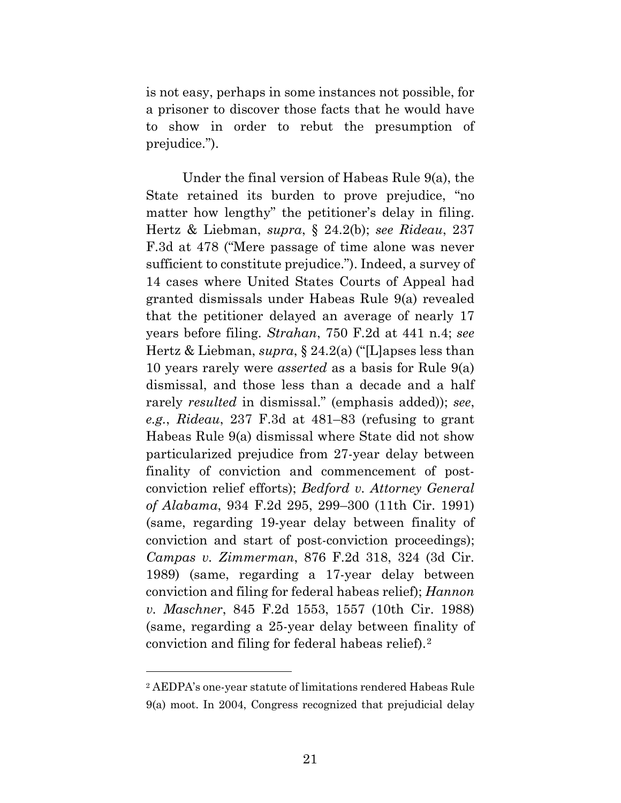is not easy, perhaps in some instances not possible, for a prisoner to discover those facts that he would have to show in order to rebut the presumption of prejudice.").

Under the final version of Habeas Rule 9(a), the State retained its burden to prove prejudice, "no matter how lengthy" the petitioner's delay in filing. Hertz & Liebman, *supra*, § 24.2(b); *see Rideau*, 237 F.3d at 478 ("Mere passage of time alone was never sufficient to constitute prejudice."). Indeed, a survey of 14 cases where United States Courts of Appeal had granted dismissals under Habeas Rule 9(a) revealed that the petitioner delayed an average of nearly 17 years before filing. *Strahan*, 750 F.2d at 441 n.4; *see* Hertz & Liebman, *supra*, § 24.2(a) ("[L]apses less than 10 years rarely were *asserted* as a basis for Rule 9(a) dismissal, and those less than a decade and a half rarely *resulted* in dismissal." (emphasis added)); *see*, *e.g.*, *Rideau*, 237 F.3d at 481–83 (refusing to grant Habeas Rule 9(a) dismissal where State did not show particularized prejudice from 27-year delay between finality of conviction and commencement of postconviction relief efforts); *Bedford v. Attorney General of Alabama*, 934 F.2d 295, 299–300 (11th Cir. 1991) (same, regarding 19-year delay between finality of conviction and start of post-conviction proceedings); *Campas v. Zimmerman*, 876 F.2d 318, 324 (3d Cir. 1989) (same, regarding a 17-year delay between conviction and filing for federal habeas relief); *Hannon v. Maschner*, 845 F.2d 1553, 1557 (10th Cir. 1988) (same, regarding a 25-year delay between finality of conviction and filing for federal habeas relief).[2](#page-28-0)

 $\overline{a}$ 

<span id="page-28-0"></span><sup>2</sup> AEDPA's one-year statute of limitations rendered Habeas Rule 9(a) moot. In 2004, Congress recognized that prejudicial delay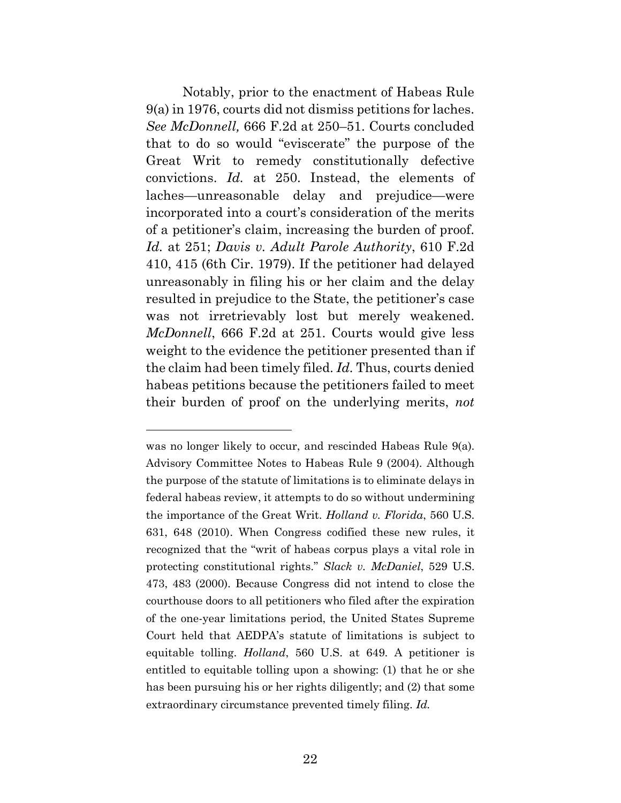Notably, prior to the enactment of Habeas Rule 9(a) in 1976, courts did not dismiss petitions for laches. *See McDonnell,* 666 F.2d at 250–51. Courts concluded that to do so would "eviscerate" the purpose of the Great Writ to remedy constitutionally defective convictions. *Id.* at 250. Instead, the elements of laches—unreasonable delay and prejudice—were incorporated into a court's consideration of the merits of a petitioner's claim, increasing the burden of proof. *Id.* at 251; *Davis v. Adult Parole Authority*, 610 F.2d 410, 415 (6th Cir. 1979). If the petitioner had delayed unreasonably in filing his or her claim and the delay resulted in prejudice to the State, the petitioner's case was not irretrievably lost but merely weakened. *McDonnell*, 666 F.2d at 251. Courts would give less weight to the evidence the petitioner presented than if the claim had been timely filed. *Id.* Thus, courts denied habeas petitions because the petitioners failed to meet their burden of proof on the underlying merits, *not* 

 $\overline{a}$ 

was no longer likely to occur, and rescinded Habeas Rule 9(a). Advisory Committee Notes to Habeas Rule 9 (2004). Although the purpose of the statute of limitations is to eliminate delays in federal habeas review, it attempts to do so without undermining the importance of the Great Writ. *Holland v. Florida*, 560 U.S. 631, 648 (2010). When Congress codified these new rules, it recognized that the "writ of habeas corpus plays a vital role in protecting constitutional rights." *Slack v. McDaniel*, 529 U.S. 473, 483 (2000). Because Congress did not intend to close the courthouse doors to all petitioners who filed after the expiration of the one-year limitations period, the United States Supreme Court held that AEDPA's statute of limitations is subject to equitable tolling. *Holland*, 560 U.S. at 649. A petitioner is entitled to equitable tolling upon a showing: (1) that he or she has been pursuing his or her rights diligently; and (2) that some extraordinary circumstance prevented timely filing. *Id.*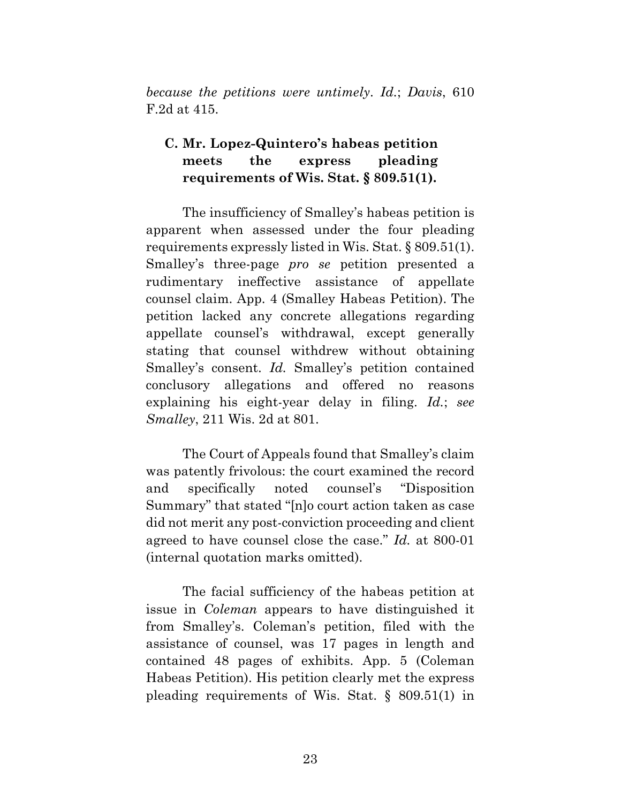*because the petitions were untimely*. *Id.*; *Davis*, 610 F.2d at 415.

## **C. Mr. Lopez-Quintero's habeas petition meets the express pleading requirements of Wis. Stat. § 809.51(1).**

The insufficiency of Smalley's habeas petition is apparent when assessed under the four pleading requirements expressly listed in Wis. Stat. § 809.51(1). Smalley's three-page *pro se* petition presented a rudimentary ineffective assistance of appellate counsel claim. App. 4 (Smalley Habeas Petition). The petition lacked any concrete allegations regarding appellate counsel's withdrawal, except generally stating that counsel withdrew without obtaining Smalley's consent. *Id.* Smalley's petition contained conclusory allegations and offered no reasons explaining his eight-year delay in filing. *Id.*; *see Smalley*, 211 Wis. 2d at 801.

The Court of Appeals found that Smalley's claim was patently frivolous: the court examined the record and specifically noted counsel's "Disposition Summary" that stated "[n]o court action taken as case did not merit any post-conviction proceeding and client agreed to have counsel close the case." *Id.* at 800-01 (internal quotation marks omitted).

The facial sufficiency of the habeas petition at issue in *Coleman* appears to have distinguished it from Smalley's. Coleman's petition, filed with the assistance of counsel, was 17 pages in length and contained 48 pages of exhibits. App. 5 (Coleman Habeas Petition). His petition clearly met the express pleading requirements of Wis. Stat. § 809.51(1) in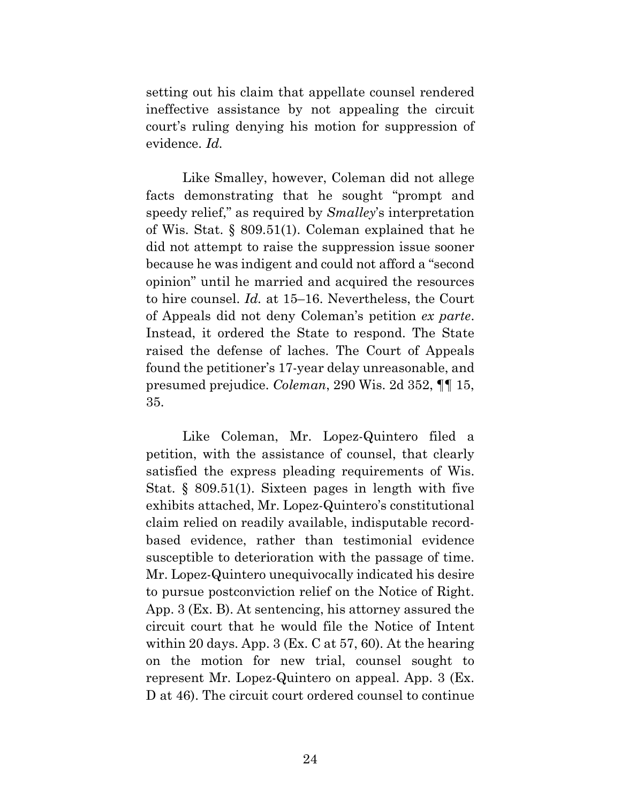setting out his claim that appellate counsel rendered ineffective assistance by not appealing the circuit court's ruling denying his motion for suppression of evidence. *Id.*

Like Smalley, however, Coleman did not allege facts demonstrating that he sought "prompt and speedy relief," as required by *Smalley*'s interpretation of Wis. Stat. § 809.51(1). Coleman explained that he did not attempt to raise the suppression issue sooner because he was indigent and could not afford a "second opinion" until he married and acquired the resources to hire counsel. *Id.* at 15–16. Nevertheless, the Court of Appeals did not deny Coleman's petition *ex parte*. Instead, it ordered the State to respond. The State raised the defense of laches. The Court of Appeals found the petitioner's 17-year delay unreasonable, and presumed prejudice. *Coleman*, 290 Wis. 2d 352, ¶¶ 15, 35.

Like Coleman, Mr. Lopez-Quintero filed a petition, with the assistance of counsel, that clearly satisfied the express pleading requirements of Wis. Stat. § 809.51(1). Sixteen pages in length with five exhibits attached, Mr. Lopez-Quintero's constitutional claim relied on readily available, indisputable recordbased evidence, rather than testimonial evidence susceptible to deterioration with the passage of time. Mr. Lopez-Quintero unequivocally indicated his desire to pursue postconviction relief on the Notice of Right. App. 3 (Ex. B). At sentencing, his attorney assured the circuit court that he would file the Notice of Intent within 20 days. App. 3 (Ex. C at 57, 60). At the hearing on the motion for new trial, counsel sought to represent Mr. Lopez-Quintero on appeal. App. 3 (Ex. D at 46). The circuit court ordered counsel to continue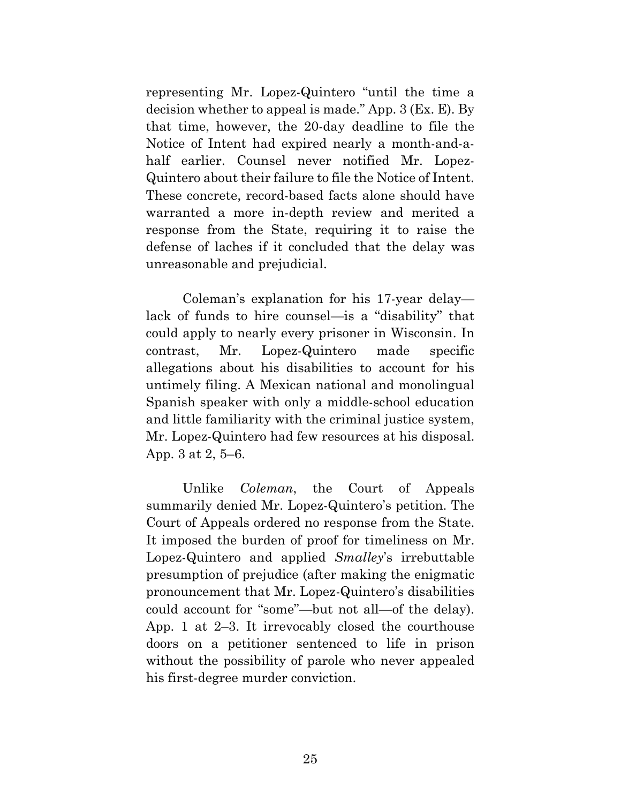representing Mr. Lopez-Quintero "until the time a decision whether to appeal is made." App. 3 (Ex. E). By that time, however, the 20-day deadline to file the Notice of Intent had expired nearly a month-and-ahalf earlier. Counsel never notified Mr. Lopez-Quintero about their failure to file the Notice of Intent. These concrete, record-based facts alone should have warranted a more in-depth review and merited a response from the State, requiring it to raise the defense of laches if it concluded that the delay was unreasonable and prejudicial.

Coleman's explanation for his 17-year delay lack of funds to hire counsel—is a "disability" that could apply to nearly every prisoner in Wisconsin. In contrast, Mr. Lopez-Quintero made specific allegations about his disabilities to account for his untimely filing. A Mexican national and monolingual Spanish speaker with only a middle-school education and little familiarity with the criminal justice system, Mr. Lopez-Quintero had few resources at his disposal. App. 3 at 2, 5–6.

Unlike *Coleman*, the Court of Appeals summarily denied Mr. Lopez-Quintero's petition. The Court of Appeals ordered no response from the State. It imposed the burden of proof for timeliness on Mr. Lopez-Quintero and applied *Smalley*'s irrebuttable presumption of prejudice (after making the enigmatic pronouncement that Mr. Lopez-Quintero's disabilities could account for "some"—but not all—of the delay). App. 1 at 2–3. It irrevocably closed the courthouse doors on a petitioner sentenced to life in prison without the possibility of parole who never appealed his first-degree murder conviction.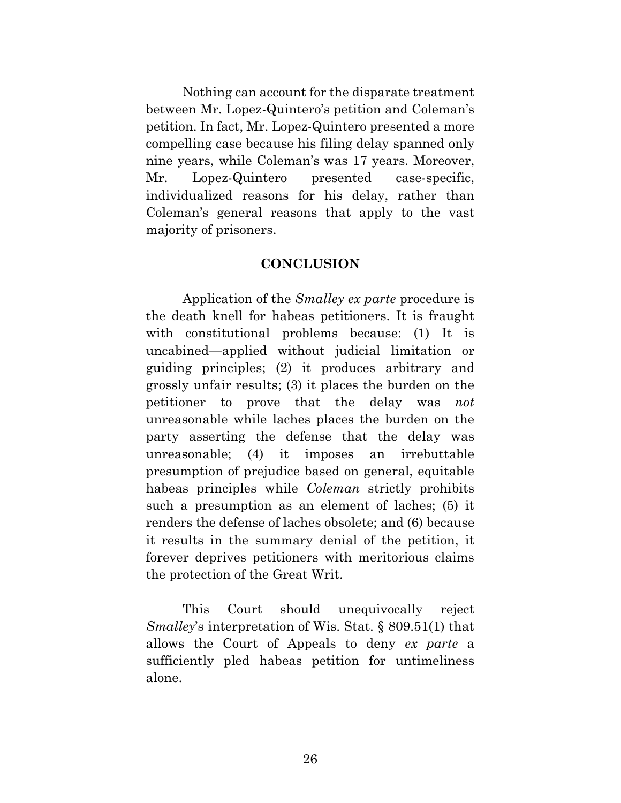Nothing can account for the disparate treatment between Mr. Lopez-Quintero's petition and Coleman's petition. In fact, Mr. Lopez-Quintero presented a more compelling case because his filing delay spanned only nine years, while Coleman's was 17 years. Moreover, Mr. Lopez-Quintero presented case-specific, individualized reasons for his delay, rather than Coleman's general reasons that apply to the vast majority of prisoners.

### **CONCLUSION**

Application of the *Smalley ex parte* procedure is the death knell for habeas petitioners. It is fraught with constitutional problems because: (1) It is uncabined—applied without judicial limitation or guiding principles; (2) it produces arbitrary and grossly unfair results; (3) it places the burden on the petitioner to prove that the delay was *not* unreasonable while laches places the burden on the party asserting the defense that the delay was unreasonable; (4) it imposes an irrebuttable presumption of prejudice based on general, equitable habeas principles while *Coleman* strictly prohibits such a presumption as an element of laches; (5) it renders the defense of laches obsolete; and (6) because it results in the summary denial of the petition, it forever deprives petitioners with meritorious claims the protection of the Great Writ.

This Court should unequivocally reject *Smalley*'s interpretation of Wis. Stat. § 809.51(1) that allows the Court of Appeals to deny *ex parte* a sufficiently pled habeas petition for untimeliness alone.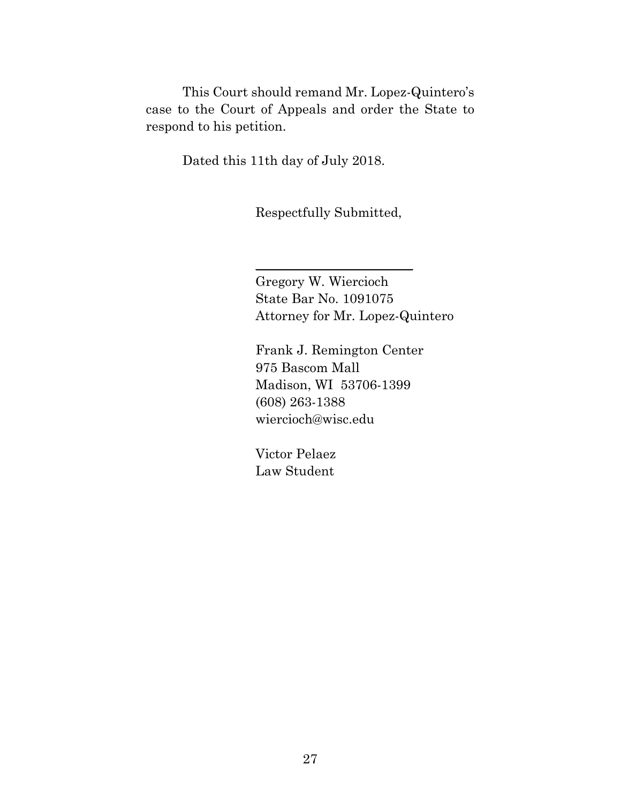This Court should remand Mr. Lopez-Quintero's case to the Court of Appeals and order the State to respond to his petition.

Dated this 11th day of July 2018.

Respectfully Submitted,

\_\_\_\_\_\_\_\_\_\_\_\_\_\_\_\_\_\_\_\_\_\_\_\_

Gregory W. Wiercioch State Bar No. 1091075 Attorney for Mr. Lopez-Quintero

Frank J. Remington Center 975 Bascom Mall Madison, WI 53706-1399 (608) 263-1388 wiercioch@wisc.edu

Victor Pelaez Law Student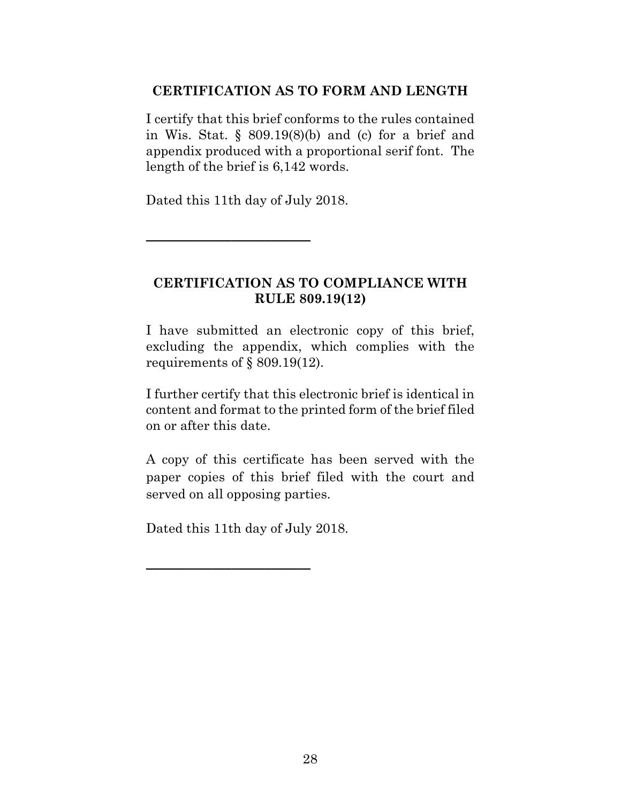## **CERTIFICATION AS TO FORM AND LENGTH**

I certify that this brief conforms to the rules contained in Wis. Stat.  $\S$  809.19(8)(b) and (c) for a brief and appendix produced with a proportional serif font. The length of the brief is 6,142 words.

Dated this 11th day of July 2018.

 $\overline{\phantom{a}}$  , where  $\overline{\phantom{a}}$  , where  $\overline{\phantom{a}}$  , where  $\overline{\phantom{a}}$ 

## **CERTIFICATION AS TO COMPLIANCE WITH RULE 809.19(12)**

I have submitted an electronic copy of this brief, excluding the appendix, which complies with the requirements of § 809.19(12).

I further certify that this electronic brief is identical in content and format to the printed form of the brief filed on or after this date.

A copy of this certificate has been served with the paper copies of this brief filed with the court and served on all opposing parties.

Dated this 11th day of July 2018.

 $\overline{\phantom{a}}$  , where  $\overline{\phantom{a}}$  , where  $\overline{\phantom{a}}$  , where  $\overline{\phantom{a}}$  , where  $\overline{\phantom{a}}$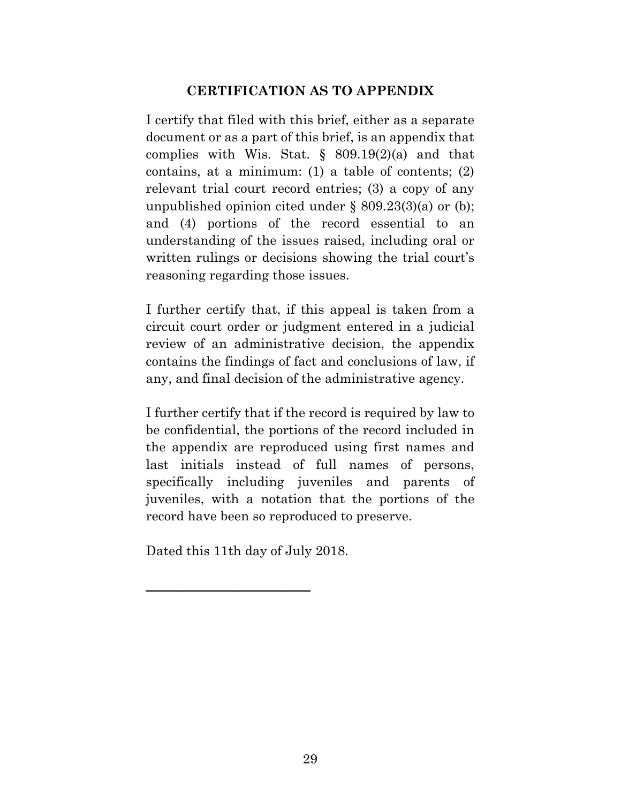## **CERTIFICATION AS TO APPENDIX**

I certify that filed with this brief, either as a separate document or as a part of this brief, is an appendix that complies with Wis. Stat.  $\S$  809.19(2)(a) and that contains, at a minimum: (1) a table of contents; (2) relevant trial court record entries; (3) a copy of any unpublished opinion cited under § 809.23(3)(a) or (b); and (4) portions of the record essential to an understanding of the issues raised, including oral or written rulings or decisions showing the trial court's reasoning regarding those issues.

I further certify that, if this appeal is taken from a circuit court order or judgment entered in a judicial review of an administrative decision, the appendix contains the findings of fact and conclusions of law, if any, and final decision of the administrative agency.

I further certify that if the record is required by law to be confidential, the portions of the record included in the appendix are reproduced using first names and last initials instead of full names of persons, specifically including juveniles and parents of juveniles, with a notation that the portions of the record have been so reproduced to preserve.

Dated this 11th day of July 2018.

\_\_\_\_\_\_\_\_\_\_\_\_\_\_\_\_\_\_\_\_\_\_\_\_\_